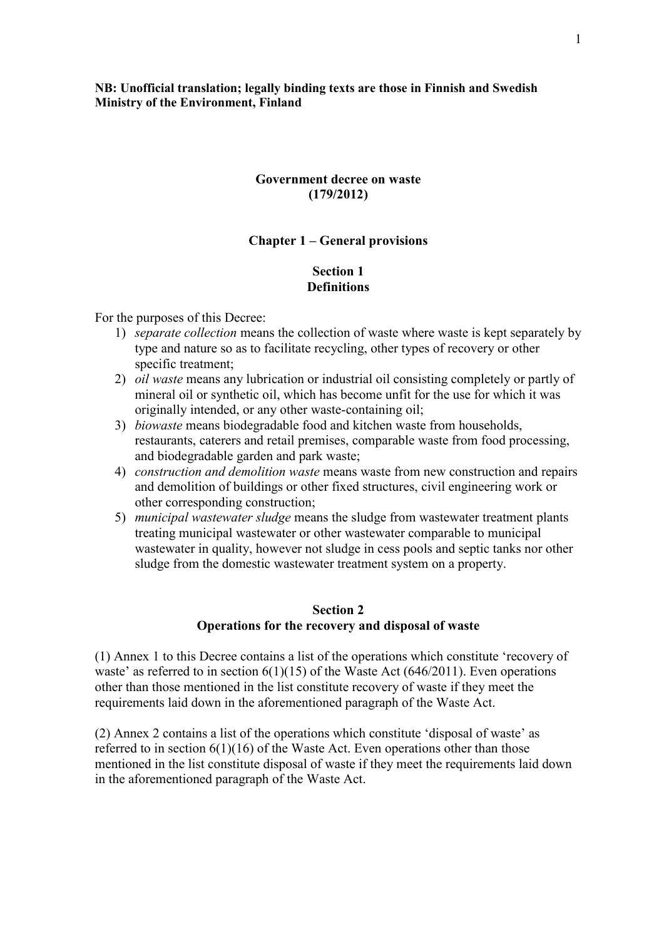**NB: Unofficial translation; legally binding texts are those in Finnish and Swedish Ministry of the Environment, Finland**

#### **Government decree on waste (179/2012)**

#### **Chapter 1 – General provisions**

#### **Section 1 Definitions**

For the purposes of this Decree:

- 1) *separate collection* means the collection of waste where waste is kept separately by type and nature so as to facilitate recycling, other types of recovery or other specific treatment;
- 2) *oil waste* means any lubrication or industrial oil consisting completely or partly of mineral oil or synthetic oil, which has become unfit for the use for which it was originally intended, or any other waste-containing oil;
- 3) *biowaste* means biodegradable food and kitchen waste from households, restaurants, caterers and retail premises, comparable waste from food processing, and biodegradable garden and park waste;
- 4) *construction and demolition waste* means waste from new construction and repairs and demolition of buildings or other fixed structures, civil engineering work or other corresponding construction;
- 5) *municipal wastewater sludge* means the sludge from wastewater treatment plants treating municipal wastewater or other wastewater comparable to municipal wastewater in quality, however not sludge in cess pools and septic tanks nor other sludge from the domestic wastewater treatment system on a property.

#### **Section 2 Operations for the recovery and disposal of waste**

(1) Annex 1 to this Decree contains a list of the operations which constitute 'recovery of waste' as referred to in section  $6(1)(15)$  of the Waste Act  $(646/2011)$ . Even operations other than those mentioned in the list constitute recovery of waste if they meet the requirements laid down in the aforementioned paragraph of the Waste Act.

(2) Annex 2 contains a list of the operations which constitute 'disposal of waste' as referred to in section  $6(1)(16)$  of the Waste Act. Even operations other than those mentioned in the list constitute disposal of waste if they meet the requirements laid down in the aforementioned paragraph of the Waste Act.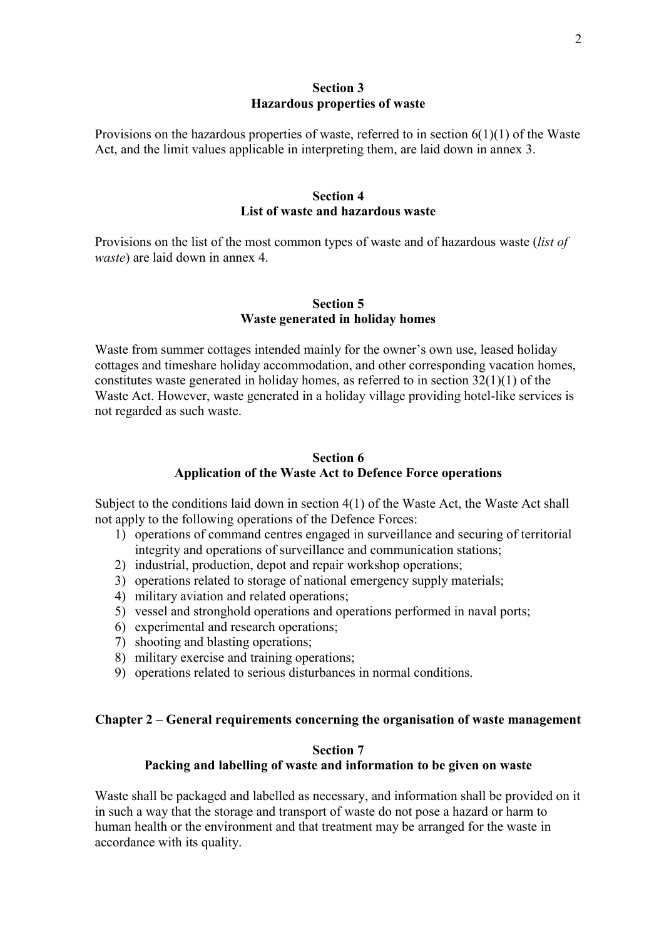#### **Section 3 Hazardous properties of waste**

Provisions on the hazardous properties of waste, referred to in section  $6(1)(1)$  of the Waste Act, and the limit values applicable in interpreting them, are laid down in annex 3.

#### **Section 4 List of waste and hazardous waste**

Provisions on the list of the most common types of waste and of hazardous waste (*list of waste*) are laid down in annex 4.

#### **Section 5 Waste generated in holiday homes**

Waste from summer cottages intended mainly for the owner's own use, leased holiday cottages and timeshare holiday accommodation, and other corresponding vacation homes, constitutes waste generated in holiday homes, as referred to in section  $32(1)(1)$  of the Waste Act. However, waste generated in a holiday village providing hotel-like services is not regarded as such waste.

## **Section 6 Application of the Waste Act to Defence Force operations**

Subject to the conditions laid down in section 4(1) of the Waste Act, the Waste Act shall not apply to the following operations of the Defence Forces:

- 1) operations of command centres engaged in surveillance and securing of territorial integrity and operations of surveillance and communication stations;
- 2) industrial, production, depot and repair workshop operations;
- 3) operations related to storage of national emergency supply materials;
- 4) military aviation and related operations;
- 5) vessel and stronghold operations and operations performed in naval ports;
- 6) experimental and research operations;
- 7) shooting and blasting operations;
- 8) military exercise and training operations;
- 9) operations related to serious disturbances in normal conditions.

#### **Chapter 2 – General requirements concerning the organisation of waste management**

### **Section 7**

## **Packing and labelling of waste and information to be given on waste**

Waste shall be packaged and labelled as necessary, and information shall be provided on it in such a way that the storage and transport of waste do not pose a hazard or harm to human health or the environment and that treatment may be arranged for the waste in accordance with its quality.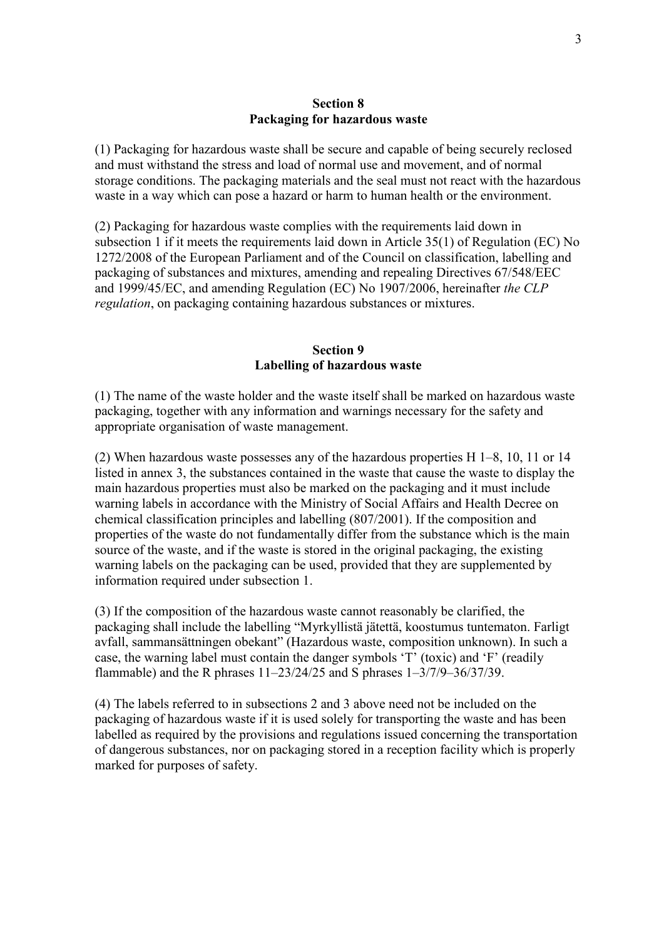#### **Section 8 Packaging for hazardous waste**

(1) Packaging for hazardous waste shall be secure and capable of being securely reclosed and must withstand the stress and load of normal use and movement, and of normal storage conditions. The packaging materials and the seal must not react with the hazardous waste in a way which can pose a hazard or harm to human health or the environment.

(2) Packaging for hazardous waste complies with the requirements laid down in subsection 1 if it meets the requirements laid down in Article 35(1) of Regulation (EC) No 1272/2008 of the European Parliament and of the Council on classification, labelling and packaging of substances and mixtures, amending and repealing Directives 67/548/EEC and 1999/45/EC, and amending Regulation (EC) No 1907/2006, hereinafter *the CLP regulation*, on packaging containing hazardous substances or mixtures.

#### **Section 9 Labelling of hazardous waste**

(1) The name of the waste holder and the waste itself shall be marked on hazardous waste packaging, together with any information and warnings necessary for the safety and appropriate organisation of waste management.

(2) When hazardous waste possesses any of the hazardous properties H 1–8, 10, 11 or 14 listed in annex 3, the substances contained in the waste that cause the waste to display the main hazardous properties must also be marked on the packaging and it must include warning labels in accordance with the Ministry of Social Affairs and Health Decree on chemical classification principles and labelling (807/2001). If the composition and properties of the waste do not fundamentally differ from the substance which is the main source of the waste, and if the waste is stored in the original packaging, the existing warning labels on the packaging can be used, provided that they are supplemented by information required under subsection 1.

(3) If the composition of the hazardous waste cannot reasonably be clarified, the packaging shall include the labelling "Myrkyllistä jätettä, koostumus tuntematon. Farligt avfall, sammansättningen obekant" (Hazardous waste, composition unknown). In such a case, the warning label must contain the danger symbols 'T' (toxic) and 'F' (readily flammable) and the R phrases 11–23/24/25 and S phrases 1–3/7/9–36/37/39.

(4) The labels referred to in subsections 2 and 3 above need not be included on the packaging of hazardous waste if it is used solely for transporting the waste and has been labelled as required by the provisions and regulations issued concerning the transportation of dangerous substances, nor on packaging stored in a reception facility which is properly marked for purposes of safety.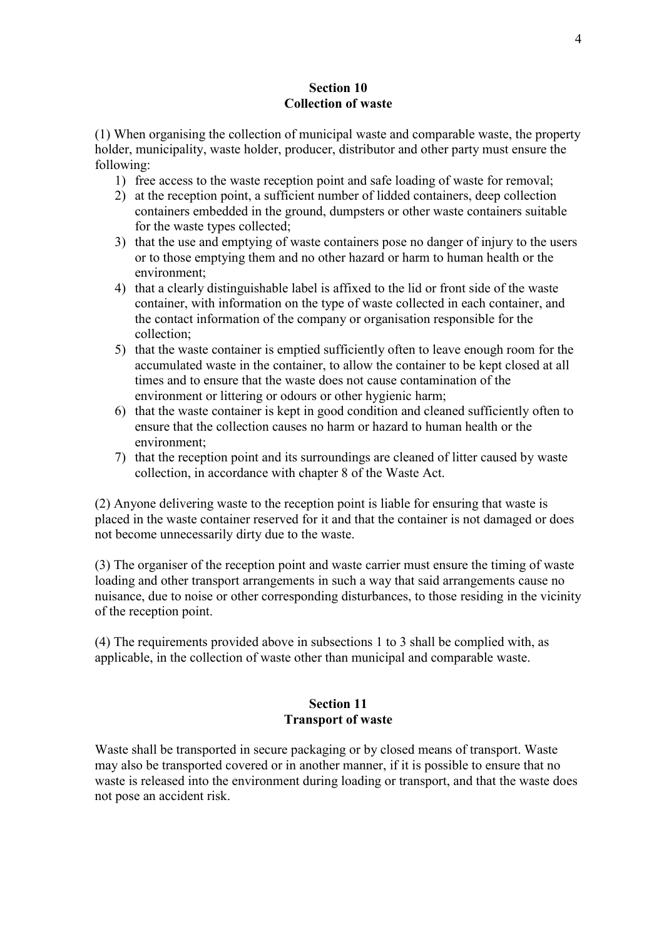### **Section 10 Collection of waste**

(1) When organising the collection of municipal waste and comparable waste, the property holder, municipality, waste holder, producer, distributor and other party must ensure the following:

- 1) free access to the waste reception point and safe loading of waste for removal;
- 2) at the reception point, a sufficient number of lidded containers, deep collection containers embedded in the ground, dumpsters or other waste containers suitable for the waste types collected;
- 3) that the use and emptying of waste containers pose no danger of injury to the users or to those emptying them and no other hazard or harm to human health or the environment;
- 4) that a clearly distinguishable label is affixed to the lid or front side of the waste container, with information on the type of waste collected in each container, and the contact information of the company or organisation responsible for the collection;
- 5) that the waste container is emptied sufficiently often to leave enough room for the accumulated waste in the container, to allow the container to be kept closed at all times and to ensure that the waste does not cause contamination of the environment or littering or odours or other hygienic harm;
- 6) that the waste container is kept in good condition and cleaned sufficiently often to ensure that the collection causes no harm or hazard to human health or the environment;
- 7) that the reception point and its surroundings are cleaned of litter caused by waste collection, in accordance with chapter 8 of the Waste Act.

(2) Anyone delivering waste to the reception point is liable for ensuring that waste is placed in the waste container reserved for it and that the container is not damaged or does not become unnecessarily dirty due to the waste.

(3) The organiser of the reception point and waste carrier must ensure the timing of waste loading and other transport arrangements in such a way that said arrangements cause no nuisance, due to noise or other corresponding disturbances, to those residing in the vicinity of the reception point.

(4) The requirements provided above in subsections 1 to 3 shall be complied with, as applicable, in the collection of waste other than municipal and comparable waste.

## **Section 11 Transport of waste**

Waste shall be transported in secure packaging or by closed means of transport. Waste may also be transported covered or in another manner, if it is possible to ensure that no waste is released into the environment during loading or transport, and that the waste does not pose an accident risk.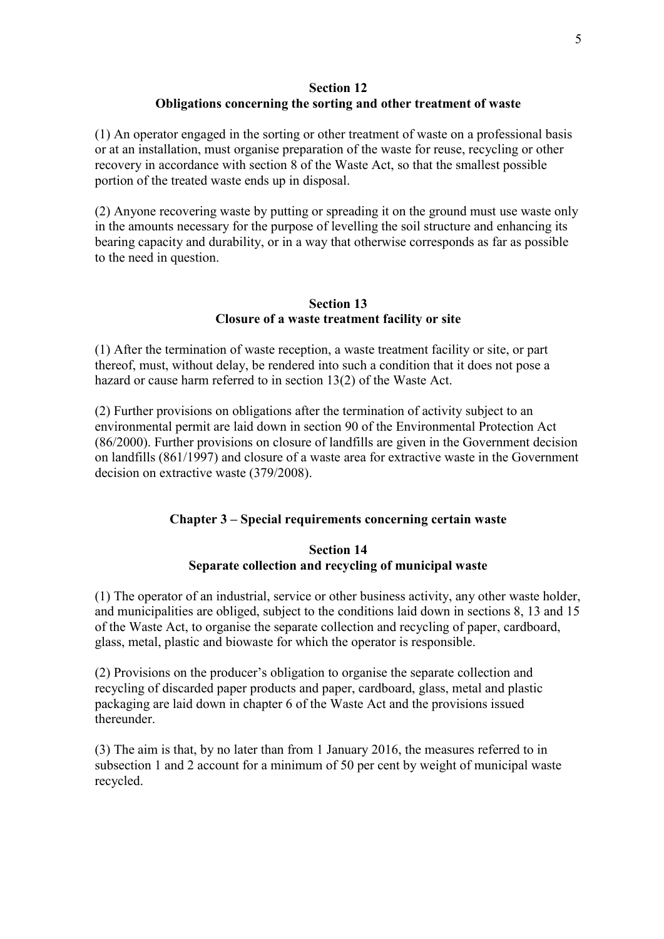#### **Section 12 Obligations concerning the sorting and other treatment of waste**

(1) An operator engaged in the sorting or other treatment of waste on a professional basis or at an installation, must organise preparation of the waste for reuse, recycling or other recovery in accordance with section 8 of the Waste Act, so that the smallest possible portion of the treated waste ends up in disposal.

(2) Anyone recovering waste by putting or spreading it on the ground must use waste only in the amounts necessary for the purpose of levelling the soil structure and enhancing its bearing capacity and durability, or in a way that otherwise corresponds as far as possible to the need in question.

## **Section 13 Closure of a waste treatment facility or site**

(1) After the termination of waste reception, a waste treatment facility or site, or part thereof, must, without delay, be rendered into such a condition that it does not pose a hazard or cause harm referred to in section 13(2) of the Waste Act.

(2) Further provisions on obligations after the termination of activity subject to an environmental permit are laid down in section 90 of the Environmental Protection Act (86/2000). Further provisions on closure of landfills are given in the Government decision on landfills (861/1997) and closure of a waste area for extractive waste in the Government decision on extractive waste (379/2008).

## **Chapter 3 – Special requirements concerning certain waste**

## **Section 14 Separate collection and recycling of municipal waste**

(1) The operator of an industrial, service or other business activity, any other waste holder, and municipalities are obliged, subject to the conditions laid down in sections 8, 13 and 15 of the Waste Act, to organise the separate collection and recycling of paper, cardboard, glass, metal, plastic and biowaste for which the operator is responsible.

(2) Provisions on the producer's obligation to organise the separate collection and recycling of discarded paper products and paper, cardboard, glass, metal and plastic packaging are laid down in chapter 6 of the Waste Act and the provisions issued thereunder.

(3) The aim is that, by no later than from 1 January 2016, the measures referred to in subsection 1 and 2 account for a minimum of 50 per cent by weight of municipal waste recycled.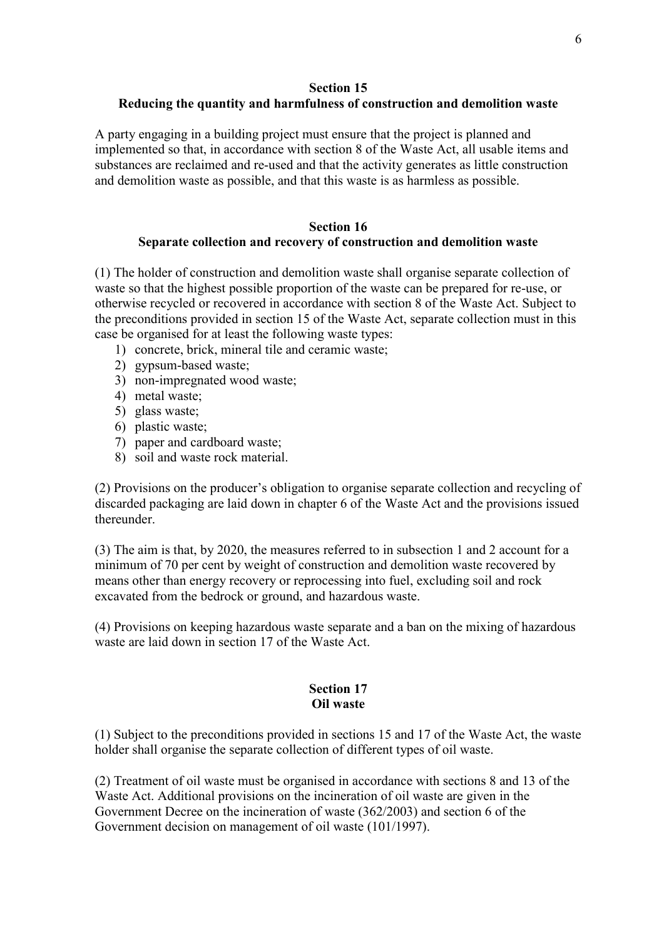#### **Section 15**

## **Reducing the quantity and harmfulness of construction and demolition waste**

A party engaging in a building project must ensure that the project is planned and implemented so that, in accordance with section 8 of the Waste Act, all usable items and substances are reclaimed and re-used and that the activity generates as little construction and demolition waste as possible, and that this waste is as harmless as possible.

## **Section 16 Separate collection and recovery of construction and demolition waste**

(1) The holder of construction and demolition waste shall organise separate collection of waste so that the highest possible proportion of the waste can be prepared for re-use, or otherwise recycled or recovered in accordance with section 8 of the Waste Act. Subject to the preconditions provided in section 15 of the Waste Act, separate collection must in this case be organised for at least the following waste types:

- 1) concrete, brick, mineral tile and ceramic waste;
- 2) gypsum-based waste;
- 3) non-impregnated wood waste;
- 4) metal waste;
- 5) glass waste;
- 6) plastic waste;
- 7) paper and cardboard waste;
- 8) soil and waste rock material.

(2) Provisions on the producer's obligation to organise separate collection and recycling of discarded packaging are laid down in chapter 6 of the Waste Act and the provisions issued thereunder.

(3) The aim is that, by 2020, the measures referred to in subsection 1 and 2 account for a minimum of 70 per cent by weight of construction and demolition waste recovered by means other than energy recovery or reprocessing into fuel, excluding soil and rock excavated from the bedrock or ground, and hazardous waste.

(4) Provisions on keeping hazardous waste separate and a ban on the mixing of hazardous waste are laid down in section 17 of the Waste Act.

#### **Section 17 Oil waste**

(1) Subject to the preconditions provided in sections 15 and 17 of the Waste Act, the waste holder shall organise the separate collection of different types of oil waste.

(2) Treatment of oil waste must be organised in accordance with sections 8 and 13 of the Waste Act. Additional provisions on the incineration of oil waste are given in the Government Decree on the incineration of waste (362/2003) and section 6 of the Government decision on management of oil waste (101/1997).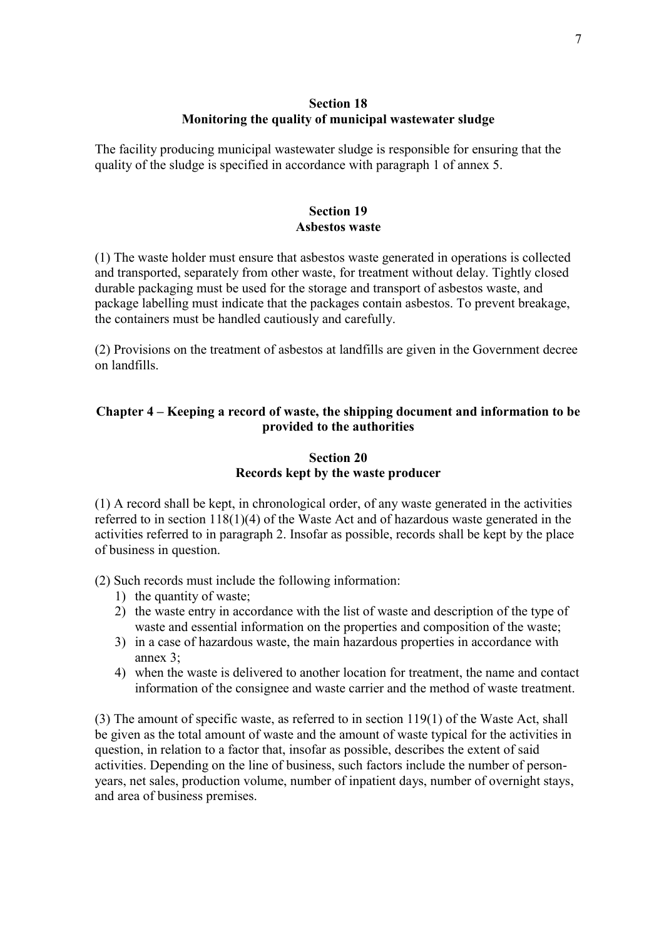## **Section 18 Monitoring the quality of municipal wastewater sludge**

The facility producing municipal wastewater sludge is responsible for ensuring that the quality of the sludge is specified in accordance with paragraph 1 of annex 5.

#### **Section 19 Asbestos waste**

(1) The waste holder must ensure that asbestos waste generated in operations is collected and transported, separately from other waste, for treatment without delay. Tightly closed durable packaging must be used for the storage and transport of asbestos waste, and package labelling must indicate that the packages contain asbestos. To prevent breakage, the containers must be handled cautiously and carefully.

(2) Provisions on the treatment of asbestos at landfills are given in the Government decree on landfills.

## **Chapter 4 – Keeping a record of waste, the shipping document and information to be provided to the authorities**

## **Section 20 Records kept by the waste producer**

(1) A record shall be kept, in chronological order, of any waste generated in the activities referred to in section 118(1)(4) of the Waste Act and of hazardous waste generated in the activities referred to in paragraph 2. Insofar as possible, records shall be kept by the place of business in question.

(2) Such records must include the following information:

- 1) the quantity of waste;
- 2) the waste entry in accordance with the list of waste and description of the type of waste and essential information on the properties and composition of the waste;
- 3) in a case of hazardous waste, the main hazardous properties in accordance with annex 3;
- 4) when the waste is delivered to another location for treatment, the name and contact information of the consignee and waste carrier and the method of waste treatment.

(3) The amount of specific waste, as referred to in section 119(1) of the Waste Act, shall be given as the total amount of waste and the amount of waste typical for the activities in question, in relation to a factor that, insofar as possible, describes the extent of said activities. Depending on the line of business, such factors include the number of personyears, net sales, production volume, number of inpatient days, number of overnight stays, and area of business premises.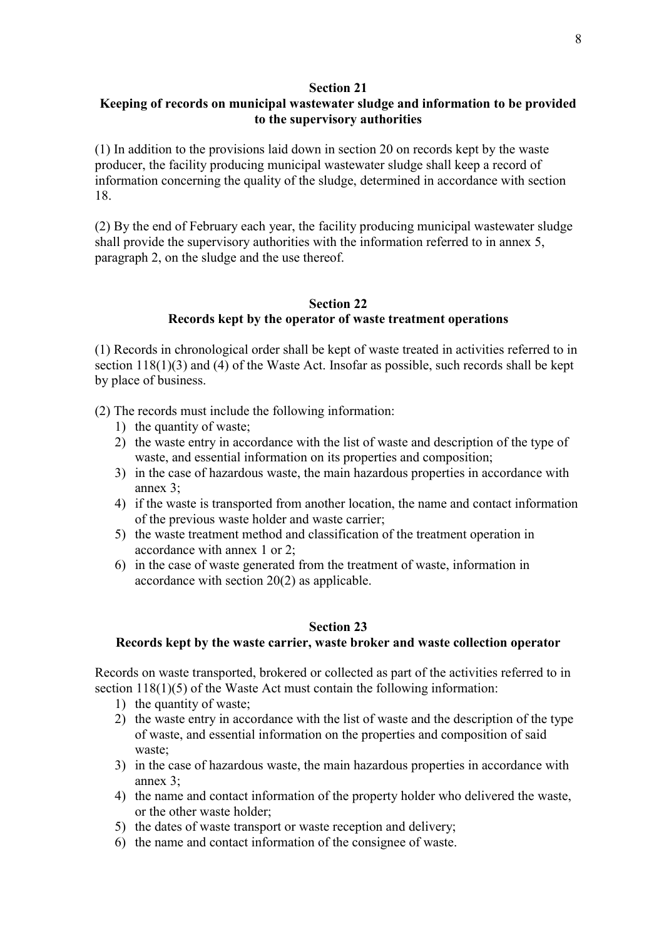#### **Section 21**

## **Keeping of records on municipal wastewater sludge and information to be provided to the supervisory authorities**

(1) In addition to the provisions laid down in section 20 on records kept by the waste producer, the facility producing municipal wastewater sludge shall keep a record of information concerning the quality of the sludge, determined in accordance with section 18.

(2) By the end of February each year, the facility producing municipal wastewater sludge shall provide the supervisory authorities with the information referred to in annex 5, paragraph 2, on the sludge and the use thereof.

### **Section 22 Records kept by the operator of waste treatment operations**

(1) Records in chronological order shall be kept of waste treated in activities referred to in section 118(1)(3) and (4) of the Waste Act. Insofar as possible, such records shall be kept by place of business.

- (2) The records must include the following information:
	- 1) the quantity of waste;
	- 2) the waste entry in accordance with the list of waste and description of the type of waste, and essential information on its properties and composition;
	- 3) in the case of hazardous waste, the main hazardous properties in accordance with annex 3;
	- 4) if the waste is transported from another location, the name and contact information of the previous waste holder and waste carrier;
	- 5) the waste treatment method and classification of the treatment operation in accordance with annex 1 or 2;
	- 6) in the case of waste generated from the treatment of waste, information in accordance with section 20(2) as applicable.

#### **Section 23**

#### **Records kept by the waste carrier, waste broker and waste collection operator**

Records on waste transported, brokered or collected as part of the activities referred to in section 118(1)(5) of the Waste Act must contain the following information:

- 1) the quantity of waste;
- 2) the waste entry in accordance with the list of waste and the description of the type of waste, and essential information on the properties and composition of said waste;
- 3) in the case of hazardous waste, the main hazardous properties in accordance with annex 3;
- 4) the name and contact information of the property holder who delivered the waste, or the other waste holder;
- 5) the dates of waste transport or waste reception and delivery;
- 6) the name and contact information of the consignee of waste.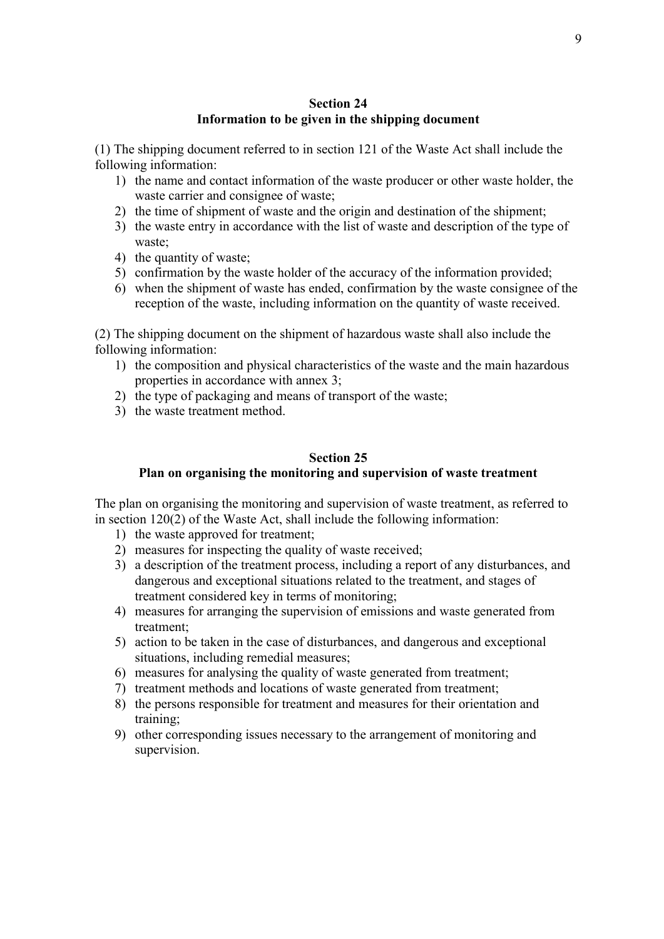## **Section 24 Information to be given in the shipping document**

(1) The shipping document referred to in section 121 of the Waste Act shall include the following information:

- 1) the name and contact information of the waste producer or other waste holder, the waste carrier and consignee of waste:
- 2) the time of shipment of waste and the origin and destination of the shipment;
- 3) the waste entry in accordance with the list of waste and description of the type of waste;
- 4) the quantity of waste;
- 5) confirmation by the waste holder of the accuracy of the information provided;
- 6) when the shipment of waste has ended, confirmation by the waste consignee of the reception of the waste, including information on the quantity of waste received.

(2) The shipping document on the shipment of hazardous waste shall also include the following information:

- 1) the composition and physical characteristics of the waste and the main hazardous properties in accordance with annex 3;
- 2) the type of packaging and means of transport of the waste;
- 3) the waste treatment method.

## **Section 25 Plan on organising the monitoring and supervision of waste treatment**

The plan on organising the monitoring and supervision of waste treatment, as referred to in section 120(2) of the Waste Act, shall include the following information:

- 1) the waste approved for treatment;
- 2) measures for inspecting the quality of waste received;
- 3) a description of the treatment process, including a report of any disturbances, and dangerous and exceptional situations related to the treatment, and stages of treatment considered key in terms of monitoring;
- 4) measures for arranging the supervision of emissions and waste generated from treatment;
- 5) action to be taken in the case of disturbances, and dangerous and exceptional situations, including remedial measures;
- 6) measures for analysing the quality of waste generated from treatment;
- 7) treatment methods and locations of waste generated from treatment;
- 8) the persons responsible for treatment and measures for their orientation and training;
- 9) other corresponding issues necessary to the arrangement of monitoring and supervision.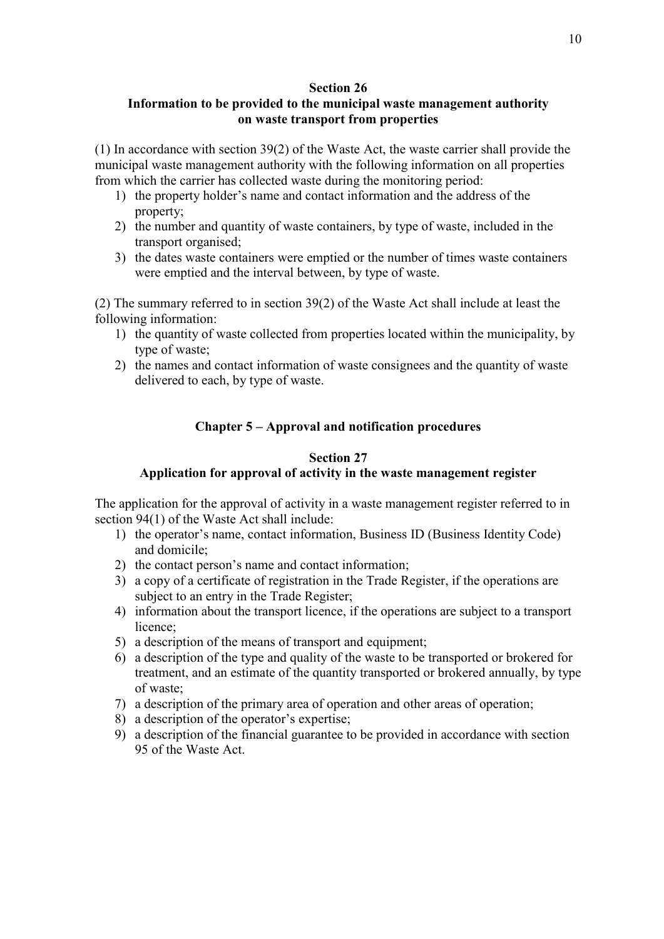### **Section 26**

## **Information to be provided to the municipal waste management authority on waste transport from properties**

(1) In accordance with section 39(2) of the Waste Act, the waste carrier shall provide the municipal waste management authority with the following information on all properties from which the carrier has collected waste during the monitoring period:

- 1) the property holder's name and contact information and the address of the property;
- 2) the number and quantity of waste containers, by type of waste, included in the transport organised;
- 3) the dates waste containers were emptied or the number of times waste containers were emptied and the interval between, by type of waste.

(2) The summary referred to in section 39(2) of the Waste Act shall include at least the following information:

- 1) the quantity of waste collected from properties located within the municipality, by type of waste;
- 2) the names and contact information of waste consignees and the quantity of waste delivered to each, by type of waste.

## **Chapter 5 – Approval and notification procedures**

## **Section 27**

## **Application for approval of activity in the waste management register**

The application for the approval of activity in a waste management register referred to in section 94(1) of the Waste Act shall include:

- 1) the operator's name, contact information, Business ID (Business Identity Code) and domicile;
- 2) the contact person's name and contact information;
- 3) a copy of a certificate of registration in the Trade Register, if the operations are subject to an entry in the Trade Register;
- 4) information about the transport licence, if the operations are subject to a transport licence;
- 5) a description of the means of transport and equipment;
- 6) a description of the type and quality of the waste to be transported or brokered for treatment, and an estimate of the quantity transported or brokered annually, by type of waste;
- 7) a description of the primary area of operation and other areas of operation;
- 8) a description of the operator's expertise;
- 9) a description of the financial guarantee to be provided in accordance with section 95 of the Waste Act.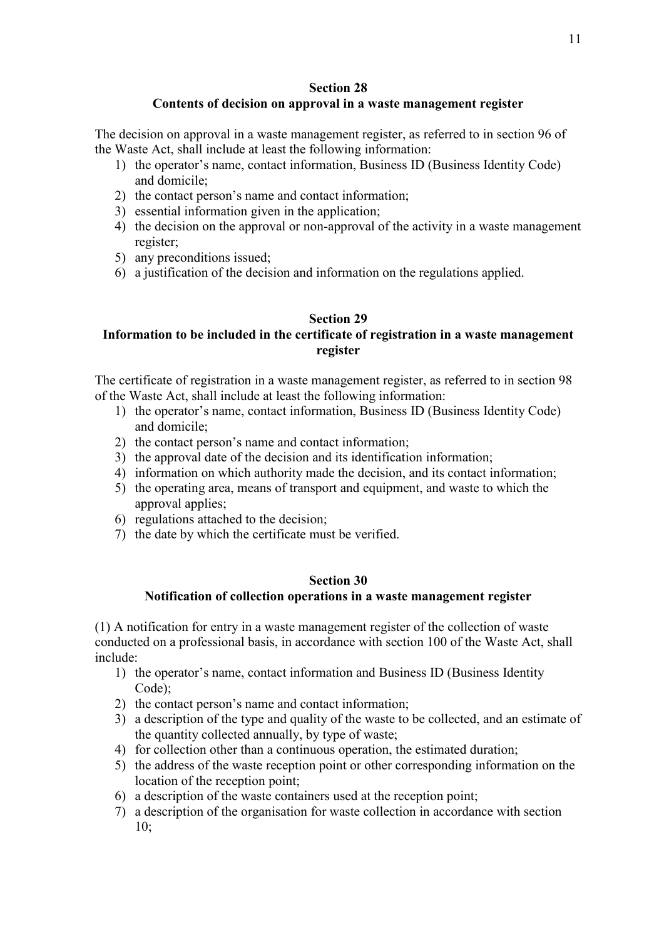#### **Section 28**

## **Contents of decision on approval in a waste management register**

The decision on approval in a waste management register, as referred to in section 96 of the Waste Act, shall include at least the following information:

- 1) the operator's name, contact information, Business ID (Business Identity Code) and domicile;
- 2) the contact person's name and contact information;
- 3) essential information given in the application;
- 4) the decision on the approval or non-approval of the activity in a waste management register;
- 5) any preconditions issued;
- 6) a justification of the decision and information on the regulations applied.

#### **Section 29**

## **Information to be included in the certificate of registration in a waste management register**

The certificate of registration in a waste management register, as referred to in section 98 of the Waste Act, shall include at least the following information:

- 1) the operator's name, contact information, Business ID (Business Identity Code) and domicile;
- 2) the contact person's name and contact information;
- 3) the approval date of the decision and its identification information;
- 4) information on which authority made the decision, and its contact information;
- 5) the operating area, means of transport and equipment, and waste to which the approval applies;
- 6) regulations attached to the decision;
- 7) the date by which the certificate must be verified.

#### **Section 30**

#### **Notification of collection operations in a waste management register**

(1) A notification for entry in a waste management register of the collection of waste conducted on a professional basis, in accordance with section 100 of the Waste Act, shall include:

- 1) the operator's name, contact information and Business ID (Business Identity Code);
- 2) the contact person's name and contact information;
- 3) a description of the type and quality of the waste to be collected, and an estimate of the quantity collected annually, by type of waste;
- 4) for collection other than a continuous operation, the estimated duration;
- 5) the address of the waste reception point or other corresponding information on the location of the reception point;
- 6) a description of the waste containers used at the reception point;
- 7) a description of the organisation for waste collection in accordance with section  $10:$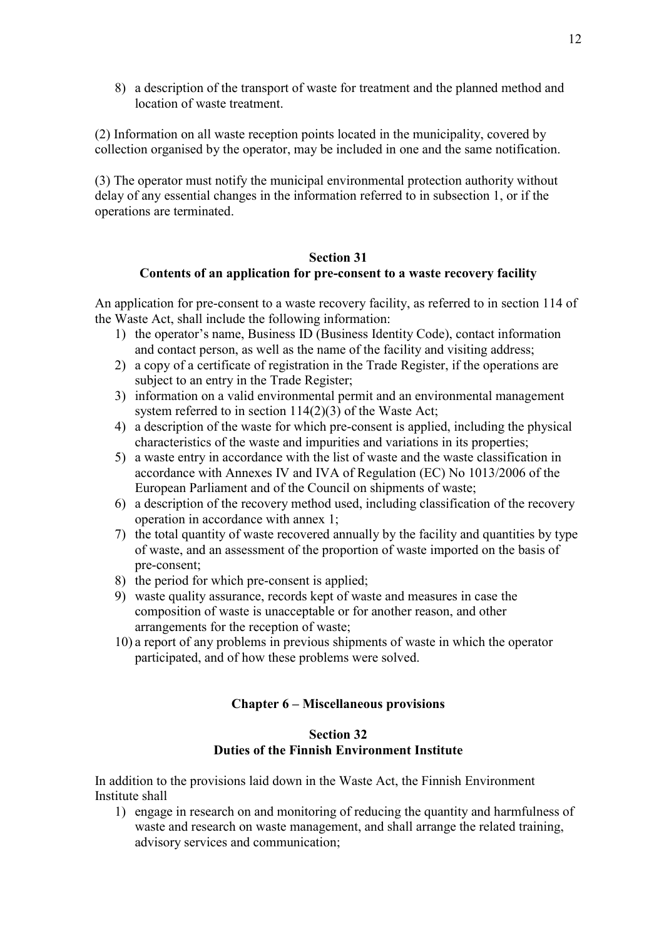8) a description of the transport of waste for treatment and the planned method and location of waste treatment.

(2) Information on all waste reception points located in the municipality, covered by collection organised by the operator, may be included in one and the same notification.

(3) The operator must notify the municipal environmental protection authority without delay of any essential changes in the information referred to in subsection 1, or if the operations are terminated.

## **Section 31 Contents of an application for pre-consent to a waste recovery facility**

An application for pre-consent to a waste recovery facility, as referred to in section 114 of the Waste Act, shall include the following information:

- 1) the operator's name, Business ID (Business Identity Code), contact information and contact person, as well as the name of the facility and visiting address;
- 2) a copy of a certificate of registration in the Trade Register, if the operations are subject to an entry in the Trade Register;
- 3) information on a valid environmental permit and an environmental management system referred to in section 114(2)(3) of the Waste Act;
- 4) a description of the waste for which pre-consent is applied, including the physical characteristics of the waste and impurities and variations in its properties;
- 5) a waste entry in accordance with the list of waste and the waste classification in accordance with Annexes IV and IVA of Regulation (EC) No 1013/2006 of the European Parliament and of the Council on shipments of waste;
- 6) a description of the recovery method used, including classification of the recovery operation in accordance with annex 1;
- 7) the total quantity of waste recovered annually by the facility and quantities by type of waste, and an assessment of the proportion of waste imported on the basis of pre-consent;
- 8) the period for which pre-consent is applied;
- 9) waste quality assurance, records kept of waste and measures in case the composition of waste is unacceptable or for another reason, and other arrangements for the reception of waste;
- 10) a report of any problems in previous shipments of waste in which the operator participated, and of how these problems were solved.

#### **Chapter 6 – Miscellaneous provisions**

#### **Section 32 Duties of the Finnish Environment Institute**

In addition to the provisions laid down in the Waste Act, the Finnish Environment Institute shall

1) engage in research on and monitoring of reducing the quantity and harmfulness of waste and research on waste management, and shall arrange the related training, advisory services and communication;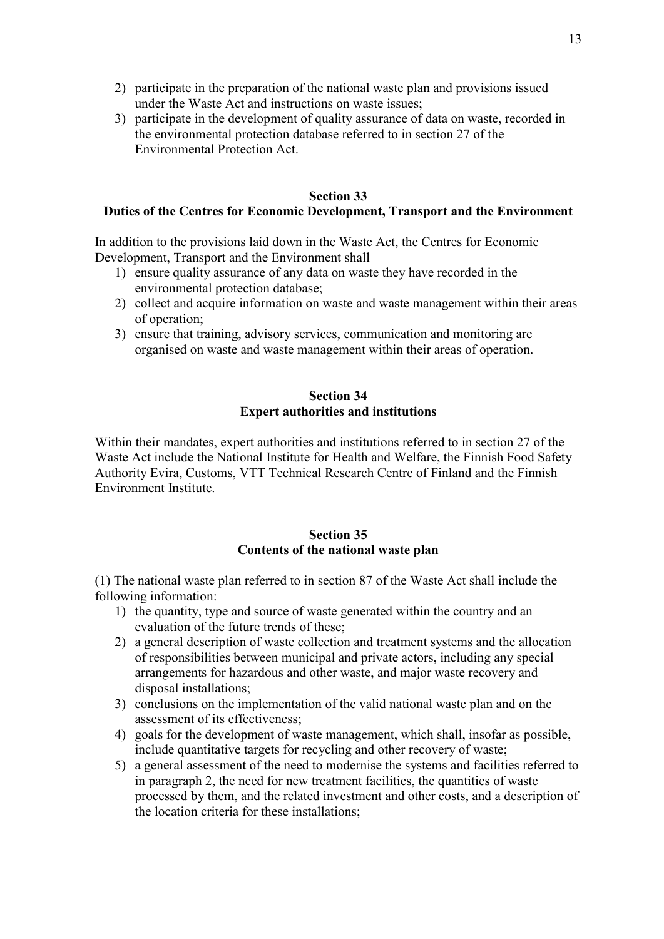- 2) participate in the preparation of the national waste plan and provisions issued under the Waste Act and instructions on waste issues;
- 3) participate in the development of quality assurance of data on waste, recorded in the environmental protection database referred to in section 27 of the Environmental Protection Act.

#### **Section 33**

#### **Duties of the Centres for Economic Development, Transport and the Environment**

In addition to the provisions laid down in the Waste Act, the Centres for Economic Development, Transport and the Environment shall

- 1) ensure quality assurance of any data on waste they have recorded in the environmental protection database;
- 2) collect and acquire information on waste and waste management within their areas of operation;
- 3) ensure that training, advisory services, communication and monitoring are organised on waste and waste management within their areas of operation.

## **Section 34 Expert authorities and institutions**

Within their mandates, expert authorities and institutions referred to in section 27 of the Waste Act include the National Institute for Health and Welfare, the Finnish Food Safety Authority Evira, Customs, VTT Technical Research Centre of Finland and the Finnish Environment Institute.

#### **Section 35 Contents of the national waste plan**

(1) The national waste plan referred to in section 87 of the Waste Act shall include the following information:

- 1) the quantity, type and source of waste generated within the country and an evaluation of the future trends of these;
- 2) a general description of waste collection and treatment systems and the allocation of responsibilities between municipal and private actors, including any special arrangements for hazardous and other waste, and major waste recovery and disposal installations;
- 3) conclusions on the implementation of the valid national waste plan and on the assessment of its effectiveness;
- 4) goals for the development of waste management, which shall, insofar as possible, include quantitative targets for recycling and other recovery of waste;
- 5) a general assessment of the need to modernise the systems and facilities referred to in paragraph 2, the need for new treatment facilities, the quantities of waste processed by them, and the related investment and other costs, and a description of the location criteria for these installations;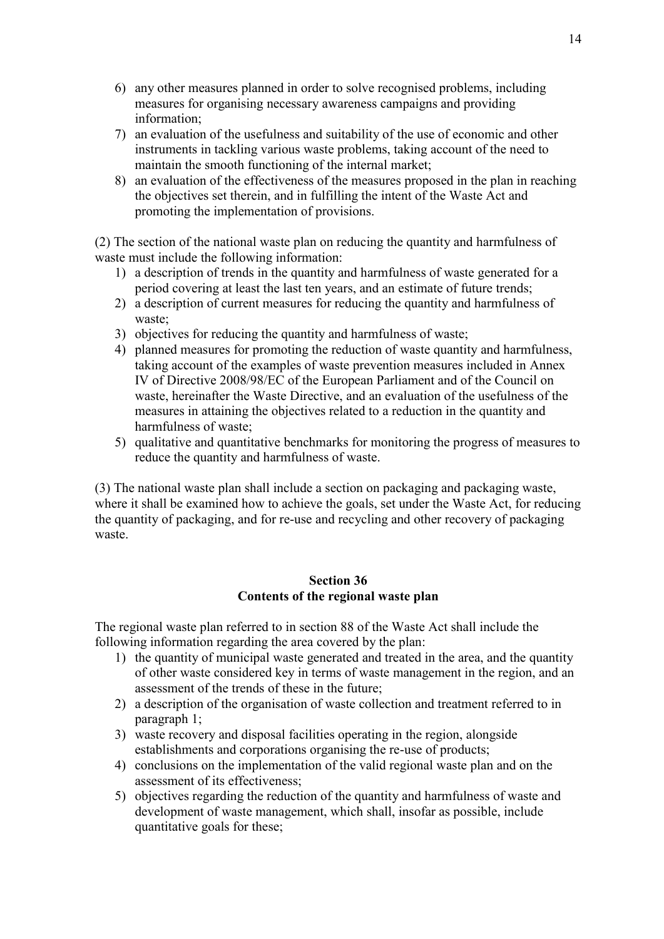- 6) any other measures planned in order to solve recognised problems, including measures for organising necessary awareness campaigns and providing information;
- 7) an evaluation of the usefulness and suitability of the use of economic and other instruments in tackling various waste problems, taking account of the need to maintain the smooth functioning of the internal market;
- 8) an evaluation of the effectiveness of the measures proposed in the plan in reaching the objectives set therein, and in fulfilling the intent of the Waste Act and promoting the implementation of provisions.

(2) The section of the national waste plan on reducing the quantity and harmfulness of waste must include the following information:

- 1) a description of trends in the quantity and harmfulness of waste generated for a period covering at least the last ten years, and an estimate of future trends;
- 2) a description of current measures for reducing the quantity and harmfulness of waste;
- 3) objectives for reducing the quantity and harmfulness of waste;
- 4) planned measures for promoting the reduction of waste quantity and harmfulness, taking account of the examples of waste prevention measures included in Annex IV of Directive 2008/98/EC of the European Parliament and of the Council on waste, hereinafter the Waste Directive, and an evaluation of the usefulness of the measures in attaining the objectives related to a reduction in the quantity and harmfulness of waste;
- 5) qualitative and quantitative benchmarks for monitoring the progress of measures to reduce the quantity and harmfulness of waste.

(3) The national waste plan shall include a section on packaging and packaging waste, where it shall be examined how to achieve the goals, set under the Waste Act, for reducing the quantity of packaging, and for re-use and recycling and other recovery of packaging waste.

#### **Section 36 Contents of the regional waste plan**

The regional waste plan referred to in section 88 of the Waste Act shall include the following information regarding the area covered by the plan:

- 1) the quantity of municipal waste generated and treated in the area, and the quantity of other waste considered key in terms of waste management in the region, and an assessment of the trends of these in the future;
- 2) a description of the organisation of waste collection and treatment referred to in paragraph 1;
- 3) waste recovery and disposal facilities operating in the region, alongside establishments and corporations organising the re-use of products;
- 4) conclusions on the implementation of the valid regional waste plan and on the assessment of its effectiveness;
- 5) objectives regarding the reduction of the quantity and harmfulness of waste and development of waste management, which shall, insofar as possible, include quantitative goals for these;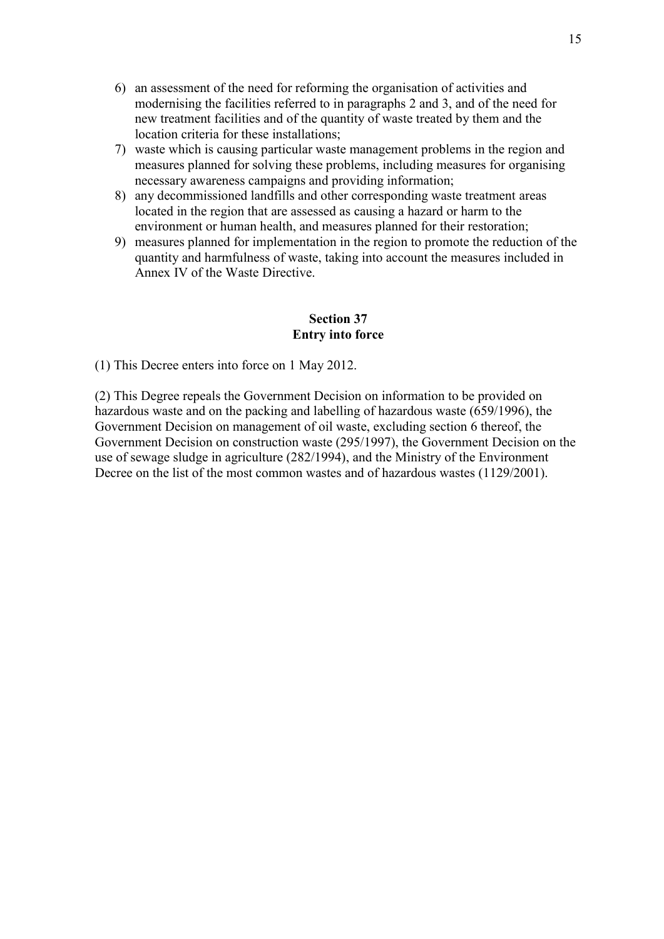- 6) an assessment of the need for reforming the organisation of activities and modernising the facilities referred to in paragraphs 2 and 3, and of the need for new treatment facilities and of the quantity of waste treated by them and the location criteria for these installations;
- 7) waste which is causing particular waste management problems in the region and measures planned for solving these problems, including measures for organising necessary awareness campaigns and providing information;
- 8) any decommissioned landfills and other corresponding waste treatment areas located in the region that are assessed as causing a hazard or harm to the environment or human health, and measures planned for their restoration;
- 9) measures planned for implementation in the region to promote the reduction of the quantity and harmfulness of waste, taking into account the measures included in Annex IV of the Waste Directive.

#### **Section 37 Entry into force**

(1) This Decree enters into force on 1 May 2012.

(2) This Degree repeals the Government Decision on information to be provided on hazardous waste and on the packing and labelling of hazardous waste (659/1996), the Government Decision on management of oil waste, excluding section 6 thereof, the Government Decision on construction waste (295/1997), the Government Decision on the use of sewage sludge in agriculture (282/1994), and the Ministry of the Environment Decree on the list of the most common wastes and of hazardous wastes (1129/2001).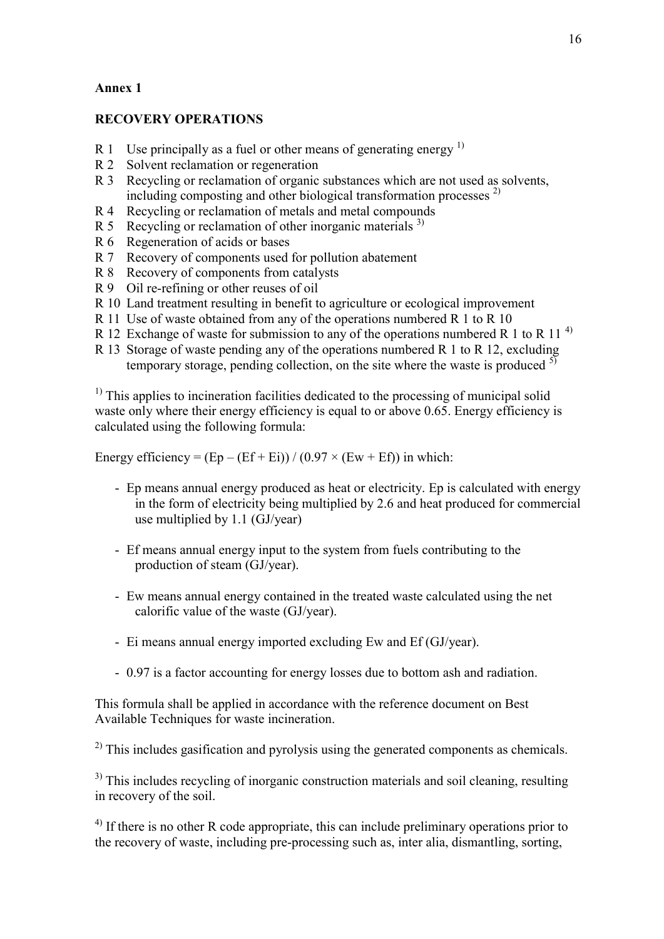## **Annex 1**

## **RECOVERY OPERATIONS**

- R 1 Use principally as a fuel or other means of generating energy  $<sup>1</sup>$ </sup>
- R 2 Solvent reclamation or regeneration
- R 3 Recycling or reclamation of organic substances which are not used as solvents, including composting and other biological transformation processes  $^{2)}$
- R 4 Recycling or reclamation of metals and metal compounds
- R 5 Recycling or reclamation of other inorganic materials  $3$ )
- R 6 Regeneration of acids or bases
- R 7 Recovery of components used for pollution abatement
- R 8 Recovery of components from catalysts
- R 9 Oil re-refining or other reuses of oil
- R 10 Land treatment resulting in benefit to agriculture or ecological improvement
- R 11 Use of waste obtained from any of the operations numbered R 1 to R 10
- R 12 Exchange of waste for submission to any of the operations numbered R 1 to R 11<sup>4)</sup>
- R 13 Storage of waste pending any of the operations numbered R 1 to R 12, excluding temporary storage, pending collection, on the site where the waste is produced  $5\frac{1}{2}$

 $<sup>1)</sup>$  This applies to incineration facilities dedicated to the processing of municipal solid</sup> waste only where their energy efficiency is equal to or above 0.65. Energy efficiency is calculated using the following formula:

Energy efficiency =  $(Ep - (Ef + Ei)) / (0.97 \times (Ew + Ef))$  in which:

- Ep means annual energy produced as heat or electricity. Ep is calculated with energy in the form of electricity being multiplied by 2.6 and heat produced for commercial use multiplied by 1.1 (GJ/year)
- Ef means annual energy input to the system from fuels contributing to the production of steam (GJ/year).
- Ew means annual energy contained in the treated waste calculated using the net calorific value of the waste (GJ/year).
- Ei means annual energy imported excluding Ew and Ef (GJ/year).
- 0.97 is a factor accounting for energy losses due to bottom ash and radiation.

This formula shall be applied in accordance with the reference document on Best Available Techniques for waste incineration.

 $^{2)}$  This includes gasification and pyrolysis using the generated components as chemicals.

<sup>3)</sup> This includes recycling of inorganic construction materials and soil cleaning, resulting in recovery of the soil.

 $^{4)}$  If there is no other R code appropriate, this can include preliminary operations prior to the recovery of waste, including pre-processing such as, inter alia, dismantling, sorting,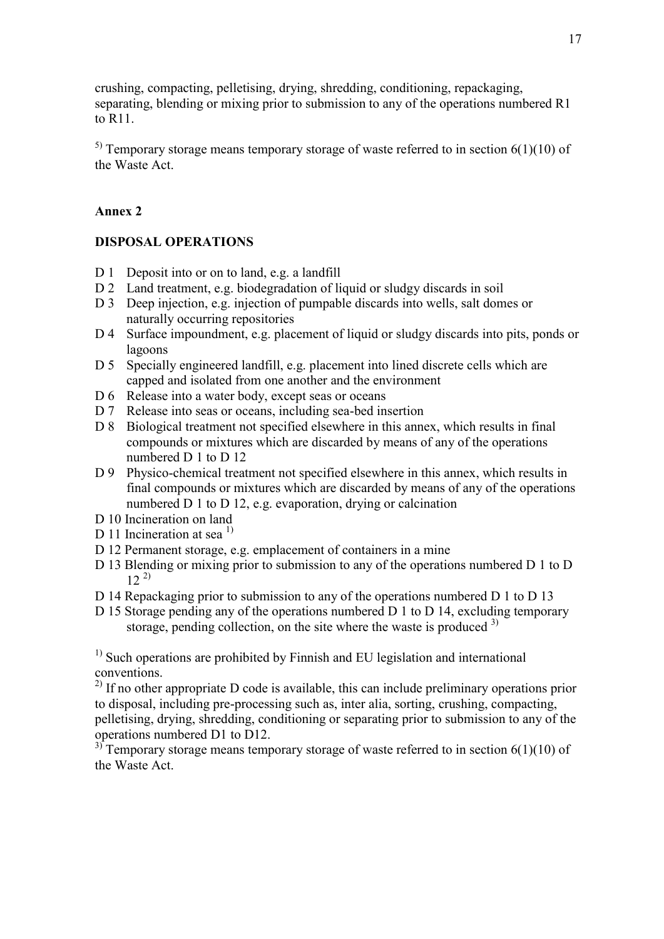crushing, compacting, pelletising, drying, shredding, conditioning, repackaging, separating, blending or mixing prior to submission to any of the operations numbered R1 to R11.

<sup>5)</sup> Temporary storage means temporary storage of waste referred to in section  $6(1)(10)$  of the Waste Act.

## **Annex 2**

## **DISPOSAL OPERATIONS**

- D 1 Deposit into or on to land, e.g. a landfill
- D 2 Land treatment, e.g. biodegradation of liquid or sludgy discards in soil
- D 3 Deep injection, e.g. injection of pumpable discards into wells, salt domes or naturally occurring repositories
- D 4 Surface impoundment, e.g. placement of liquid or sludgy discards into pits, ponds or lagoons
- D 5 Specially engineered landfill, e.g. placement into lined discrete cells which are capped and isolated from one another and the environment
- D 6 Release into a water body, except seas or oceans
- D 7 Release into seas or oceans, including sea-bed insertion
- D 8 Biological treatment not specified elsewhere in this annex, which results in final compounds or mixtures which are discarded by means of any of the operations numbered D 1 to D 12
- D 9 Physico-chemical treatment not specified elsewhere in this annex, which results in final compounds or mixtures which are discarded by means of any of the operations numbered D 1 to D 12, e.g. evaporation, drying or calcination
- D 10 Incineration on land
- D 11 Incineration at sea  $^{1}$
- D 12 Permanent storage, e.g. emplacement of containers in a mine
- D 13 Blending or mixing prior to submission to any of the operations numbered D 1 to D  $12^{2}$
- D 14 Repackaging prior to submission to any of the operations numbered D 1 to D 13
- D 15 Storage pending any of the operations numbered D 1 to D 14, excluding temporary storage, pending collection, on the site where the waste is produced <sup>3)</sup>

<sup>1)</sup> Such operations are prohibited by Finnish and EU legislation and international conventions.

 $^{2)}$  If no other appropriate D code is available, this can include preliminary operations prior to disposal, including pre-processing such as, inter alia, sorting, crushing, compacting, pelletising, drying, shredding, conditioning or separating prior to submission to any of the operations numbered D1 to D12.

<sup>3)</sup> Temporary storage means temporary storage of waste referred to in section 6(1)(10) of the Waste Act.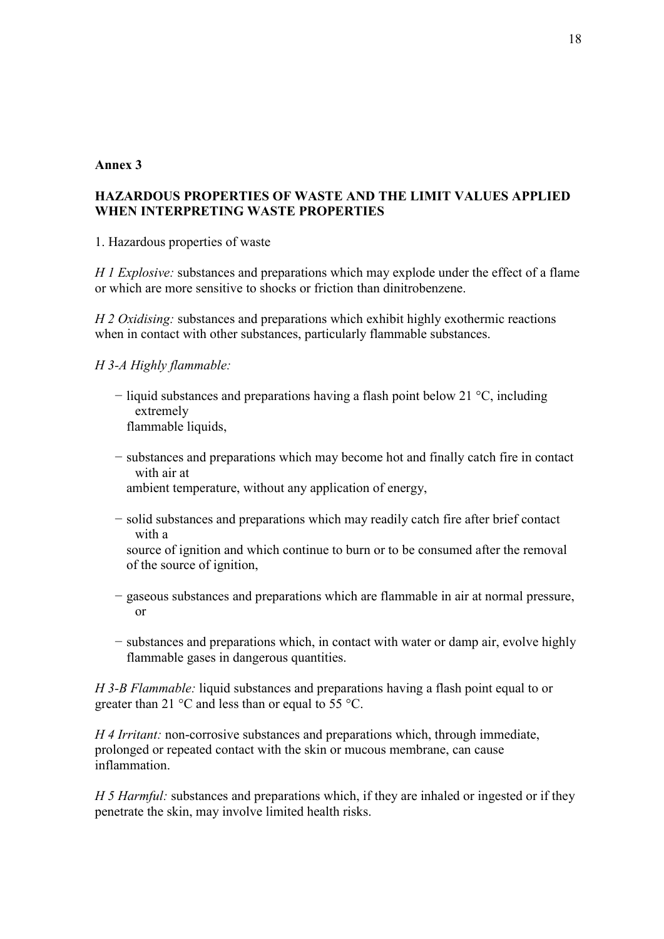#### **Annex 3**

## **HAZARDOUS PROPERTIES OF WASTE AND THE LIMIT VALUES APPLIED WHEN INTERPRETING WASTE PROPERTIES**

1. Hazardous properties of waste

*H 1 Explosive:* substances and preparations which may explode under the effect of a flame or which are more sensitive to shocks or friction than dinitrobenzene.

*H 2 Oxidising:* substances and preparations which exhibit highly exothermic reactions when in contact with other substances, particularly flammable substances.

*H 3-A Highly flammable:*

- − liquid substances and preparations having a flash point below 21 °C, including extremely flammable liquids.
- − substances and preparations which may become hot and finally catch fire in contact with air at

ambient temperature, without any application of energy,

− solid substances and preparations which may readily catch fire after brief contact with a

source of ignition and which continue to burn or to be consumed after the removal of the source of ignition,

- − gaseous substances and preparations which are flammable in air at normal pressure, or
- − substances and preparations which, in contact with water or damp air, evolve highly flammable gases in dangerous quantities.

*H 3-B Flammable:* liquid substances and preparations having a flash point equal to or greater than 21 °C and less than or equal to 55 °C.

*H 4 Irritant:* non-corrosive substances and preparations which, through immediate, prolonged or repeated contact with the skin or mucous membrane, can cause inflammation.

*H 5 Harmful:* substances and preparations which, if they are inhaled or ingested or if they penetrate the skin, may involve limited health risks.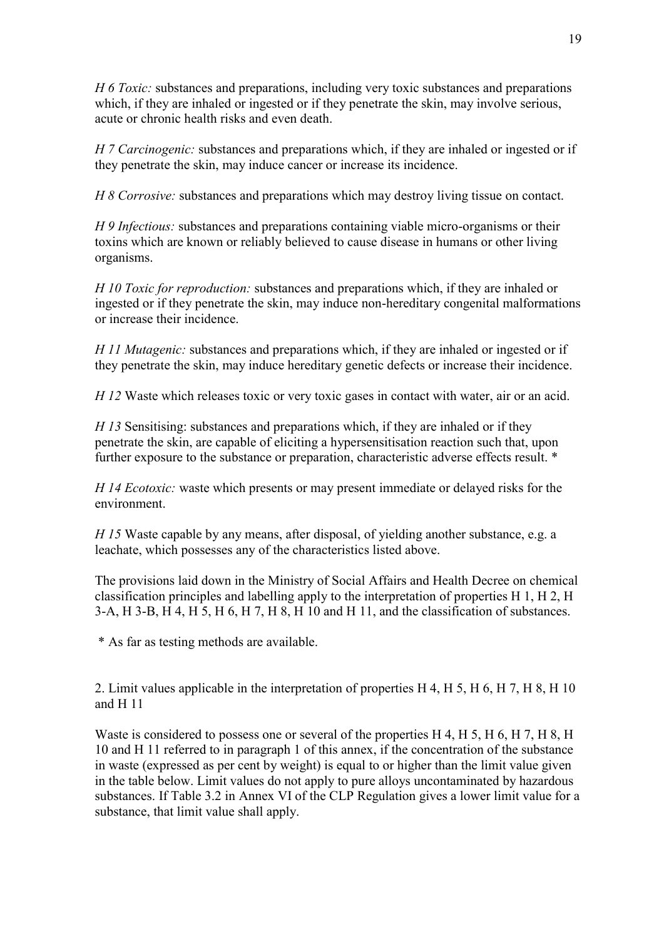*H 6 Toxic:* substances and preparations, including very toxic substances and preparations which, if they are inhaled or ingested or if they penetrate the skin, may involve serious, acute or chronic health risks and even death.

*H 7 Carcinogenic:* substances and preparations which, if they are inhaled or ingested or if they penetrate the skin, may induce cancer or increase its incidence.

*H 8 Corrosive:* substances and preparations which may destroy living tissue on contact.

*H 9 Infectious:* substances and preparations containing viable micro-organisms or their toxins which are known or reliably believed to cause disease in humans or other living organisms.

*H 10 Toxic for reproduction:* substances and preparations which, if they are inhaled or ingested or if they penetrate the skin, may induce non-hereditary congenital malformations or increase their incidence.

*H 11 Mutagenic:* substances and preparations which, if they are inhaled or ingested or if they penetrate the skin, may induce hereditary genetic defects or increase their incidence.

*H 12* Waste which releases toxic or very toxic gases in contact with water, air or an acid.

*H 13* Sensitising: substances and preparations which, if they are inhaled or if they penetrate the skin, are capable of eliciting a hypersensitisation reaction such that, upon further exposure to the substance or preparation, characteristic adverse effects result. \*

*H 14 Ecotoxic:* waste which presents or may present immediate or delayed risks for the environment.

*H 15* Waste capable by any means, after disposal, of yielding another substance, e.g. a leachate, which possesses any of the characteristics listed above.

The provisions laid down in the Ministry of Social Affairs and Health Decree on chemical classification principles and labelling apply to the interpretation of properties H 1, H 2, H 3-A, H 3-B, H 4, H 5, H 6, H 7, H 8, H 10 and H 11, and the classification of substances.

\* As far as testing methods are available.

2. Limit values applicable in the interpretation of properties H 4, H 5, H 6, H 7, H 8, H 10 and H 11

Waste is considered to possess one or several of the properties H 4, H 5, H 6, H 7, H 8, H 10 and H 11 referred to in paragraph 1 of this annex, if the concentration of the substance in waste (expressed as per cent by weight) is equal to or higher than the limit value given in the table below. Limit values do not apply to pure alloys uncontaminated by hazardous substances. If Table 3.2 in Annex VI of the CLP Regulation gives a lower limit value for a substance, that limit value shall apply.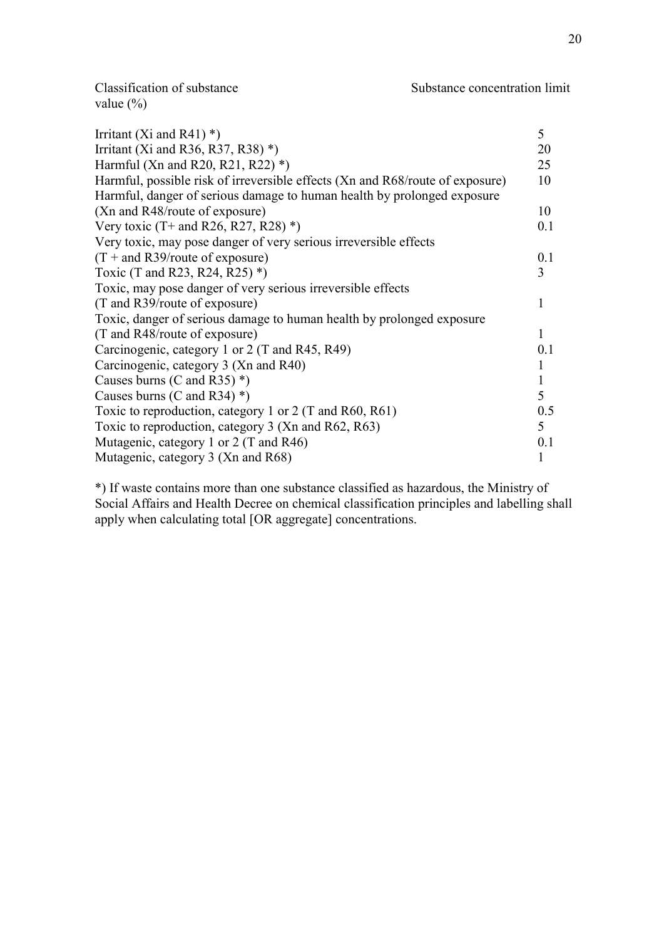value (%)

| Irritant (Xi and R41) $*$ )                                                   | 5            |
|-------------------------------------------------------------------------------|--------------|
| Irritant (Xi and R36, R37, R38) $*$ )                                         | 20           |
| Harmful (Xn and R20, R21, R22) $*$ )                                          | 25           |
| Harmful, possible risk of irreversible effects (Xn and R68/route of exposure) | 10           |
| Harmful, danger of serious damage to human health by prolonged exposure       |              |
| (Xn and R48/route of exposure)                                                | 10           |
| Very toxic $(T+$ and R26, R27, R28) *)                                        | 0.1          |
| Very toxic, may pose danger of very serious irreversible effects              |              |
| $(T + and R39$ /route of exposure)                                            | 0.1          |
| Toxic (T and R23, R24, R25) $*$ )                                             | 3            |
| Toxic, may pose danger of very serious irreversible effects                   |              |
| (T and R39/route of exposure)                                                 | 1            |
| Toxic, danger of serious damage to human health by prolonged exposure         |              |
| (T and R48/route of exposure)                                                 | 1            |
| Carcinogenic, category 1 or 2 (T and R45, R49)                                | 0.1          |
| Carcinogenic, category 3 (Xn and R40)                                         |              |
| Causes burns (C and R35) $*$ )                                                | $\mathbf{1}$ |
| Causes burns (C and R34) $*$ )                                                | 5            |
| Toxic to reproduction, category 1 or 2 (T and R60, R61)                       | 0.5          |
| Toxic to reproduction, category 3 (Xn and R62, R63)                           | 5            |
| Mutagenic, category 1 or 2 (T and R46)                                        | 0.1          |
| Mutagenic, category 3 (Xn and R68)                                            |              |

\*) If waste contains more than one substance classified as hazardous, the Ministry of Social Affairs and Health Decree on chemical classification principles and labelling shall apply when calculating total [OR aggregate] concentrations.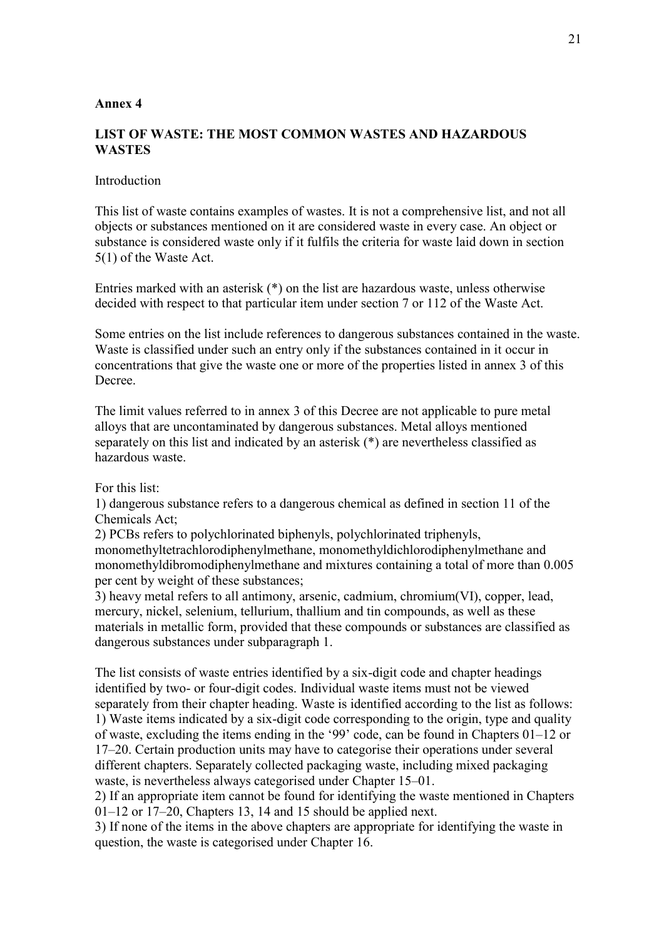#### **Annex 4**

### **LIST OF WASTE: THE MOST COMMON WASTES AND HAZARDOUS WASTES**

#### **Introduction**

This list of waste contains examples of wastes. It is not a comprehensive list, and not all objects or substances mentioned on it are considered waste in every case. An object or substance is considered waste only if it fulfils the criteria for waste laid down in section 5(1) of the Waste Act.

Entries marked with an asterisk (\*) on the list are hazardous waste, unless otherwise decided with respect to that particular item under section 7 or 112 of the Waste Act.

Some entries on the list include references to dangerous substances contained in the waste. Waste is classified under such an entry only if the substances contained in it occur in concentrations that give the waste one or more of the properties listed in annex 3 of this **Decree** 

The limit values referred to in annex 3 of this Decree are not applicable to pure metal alloys that are uncontaminated by dangerous substances. Metal alloys mentioned separately on this list and indicated by an asterisk (\*) are nevertheless classified as hazardous waste.

#### For this list:

1) dangerous substance refers to a dangerous chemical as defined in section 11 of the Chemicals Act;

2) PCBs refers to polychlorinated biphenyls, polychlorinated triphenyls, monomethyltetrachlorodiphenylmethane, monomethyldichlorodiphenylmethane and monomethyldibromodiphenylmethane and mixtures containing a total of more than 0.005 per cent by weight of these substances;

3) heavy metal refers to all antimony, arsenic, cadmium, chromium(VI), copper, lead, mercury, nickel, selenium, tellurium, thallium and tin compounds, as well as these materials in metallic form, provided that these compounds or substances are classified as dangerous substances under subparagraph 1.

The list consists of waste entries identified by a six-digit code and chapter headings identified by two- or four-digit codes. Individual waste items must not be viewed separately from their chapter heading. Waste is identified according to the list as follows: 1) Waste items indicated by a six-digit code corresponding to the origin, type and quality of waste, excluding the items ending in the '99' code, can be found in Chapters 01–12 or 17–20. Certain production units may have to categorise their operations under several different chapters. Separately collected packaging waste, including mixed packaging waste, is nevertheless always categorised under Chapter 15–01.

2) If an appropriate item cannot be found for identifying the waste mentioned in Chapters 01–12 or 17–20, Chapters 13, 14 and 15 should be applied next.

3) If none of the items in the above chapters are appropriate for identifying the waste in question, the waste is categorised under Chapter 16.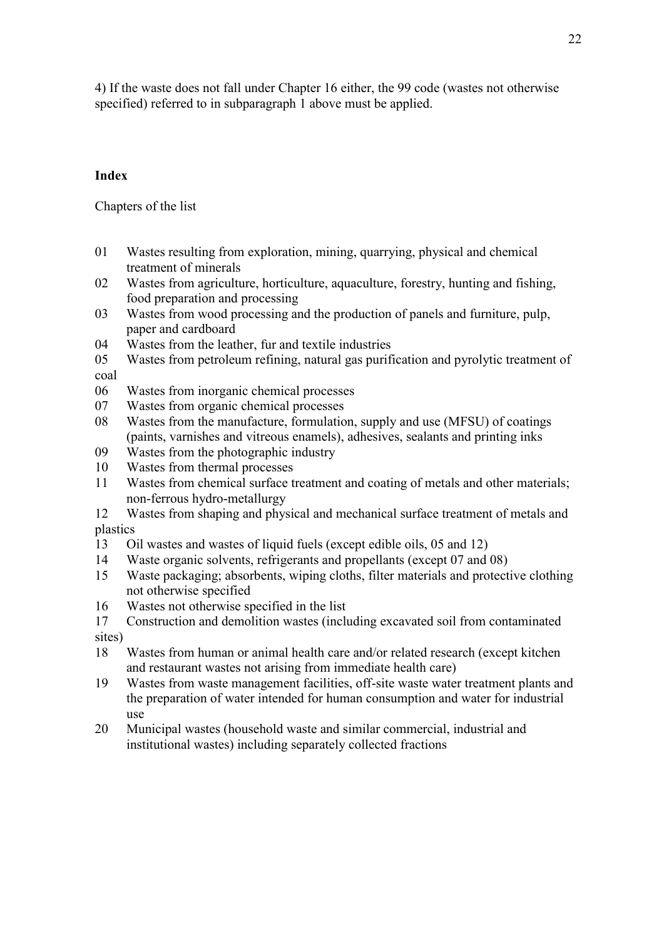4) If the waste does not fall under Chapter 16 either, the 99 code (wastes not otherwise specified) referred to in subparagraph 1 above must be applied.

## **Index**

Chapters of the list

- 01 Wastes resulting from exploration, mining, quarrying, physical and chemical treatment of minerals
- 02 Wastes from agriculture, horticulture, aquaculture, forestry, hunting and fishing, food preparation and processing
- 03 Wastes from wood processing and the production of panels and furniture, pulp, paper and cardboard
- 04 Wastes from the leather, fur and textile industries
- 05 Wastes from petroleum refining, natural gas purification and pyrolytic treatment of coal
- 06 Wastes from inorganic chemical processes
- 07 Wastes from organic chemical processes
- 08 Wastes from the manufacture, formulation, supply and use (MFSU) of coatings (paints, varnishes and vitreous enamels), adhesives, sealants and printing inks
- 09 Wastes from the photographic industry
- 10 Wastes from thermal processes
- 11 Wastes from chemical surface treatment and coating of metals and other materials; non-ferrous hydro-metallurgy
- 12 Wastes from shaping and physical and mechanical surface treatment of metals and plastics
- 13 Oil wastes and wastes of liquid fuels (except edible oils, 05 and 12)
- 14 Waste organic solvents, refrigerants and propellants (except 07 and 08)
- 15 Waste packaging; absorbents, wiping cloths, filter materials and protective clothing not otherwise specified
- 16 Wastes not otherwise specified in the list
- 17 Construction and demolition wastes (including excavated soil from contaminated sites)
- 18 Wastes from human or animal health care and/or related research (except kitchen and restaurant wastes not arising from immediate health care)
- 19 Wastes from waste management facilities, off-site waste water treatment plants and the preparation of water intended for human consumption and water for industrial use
- 20 Municipal wastes (household waste and similar commercial, industrial and institutional wastes) including separately collected fractions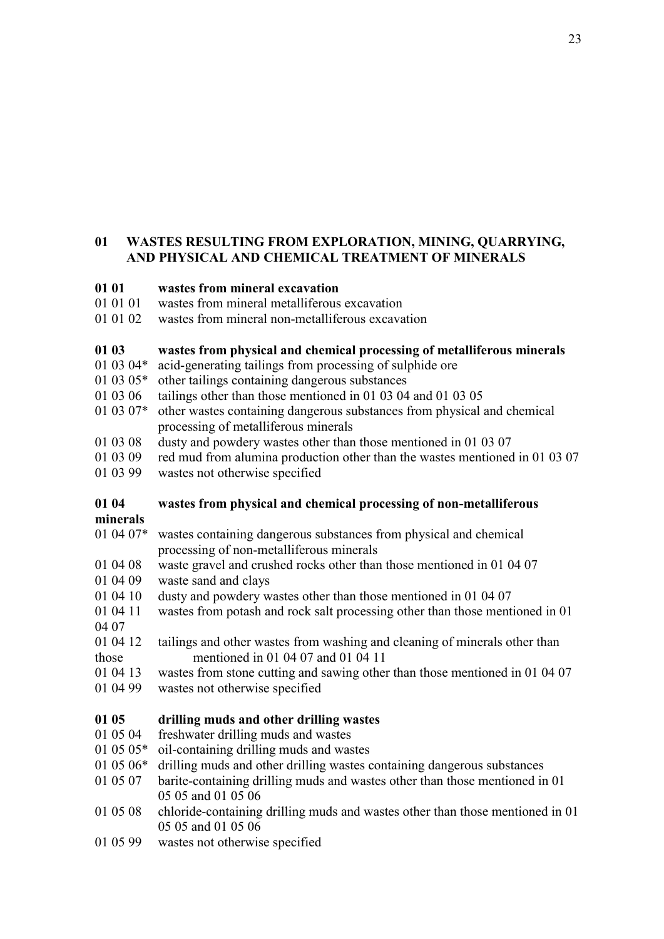## **01 WASTES RESULTING FROM EXPLORATION, MINING, QUARRYING, AND PHYSICAL AND CHEMICAL TREATMENT OF MINERALS**

## **01 01 wastes from mineral excavation**

- 01 01 01 wastes from mineral metalliferous excavation
- 01 01 02 wastes from mineral non-metalliferous excavation

#### **01 03 wastes from physical and chemical processing of metalliferous minerals**

- 01 03 04\* acid-generating tailings from processing of sulphide ore
- 01 03 05\* other tailings containing dangerous substances
- 01 03 06 tailings other than those mentioned in 01 03 04 and 01 03 05
- 01 03 07\* other wastes containing dangerous substances from physical and chemical processing of metalliferous minerals
- 01 03 08 dusty and powdery wastes other than those mentioned in 01 03 07
- 01 03 09 red mud from alumina production other than the wastes mentioned in 01 03 07
- 01 03 99 wastes not otherwise specified

## **01 04 wastes from physical and chemical processing of non-metalliferous**

**minerals**

- 01 04 07\* wastes containing dangerous substances from physical and chemical processing of non-metalliferous minerals
- 01 04 08 waste gravel and crushed rocks other than those mentioned in 01 04 07
- 01 04 09 waste sand and clays
- 01 04 10 dusty and powdery wastes other than those mentioned in 01 04 07
- 01 04 11 wastes from potash and rock salt processing other than those mentioned in 01 04 07
- 01 04 12 tailings and other wastes from washing and cleaning of minerals other than those mentioned in 01 04 07 and 01 04 11
- 01 04 13 wastes from stone cutting and sawing other than those mentioned in 01 04 07
- 01 04 99 wastes not otherwise specified

## **01 05 drilling muds and other drilling wastes**

- 01 05 04 freshwater drilling muds and wastes
- 01 05 05\* oil-containing drilling muds and wastes
- 01 05 06\* drilling muds and other drilling wastes containing dangerous substances
- 01 05 07 barite-containing drilling muds and wastes other than those mentioned in 01 05 05 and 01 05 06
- 01 05 08 chloride-containing drilling muds and wastes other than those mentioned in 01 05 05 and 01 05 06
- 01 05 99 wastes not otherwise specified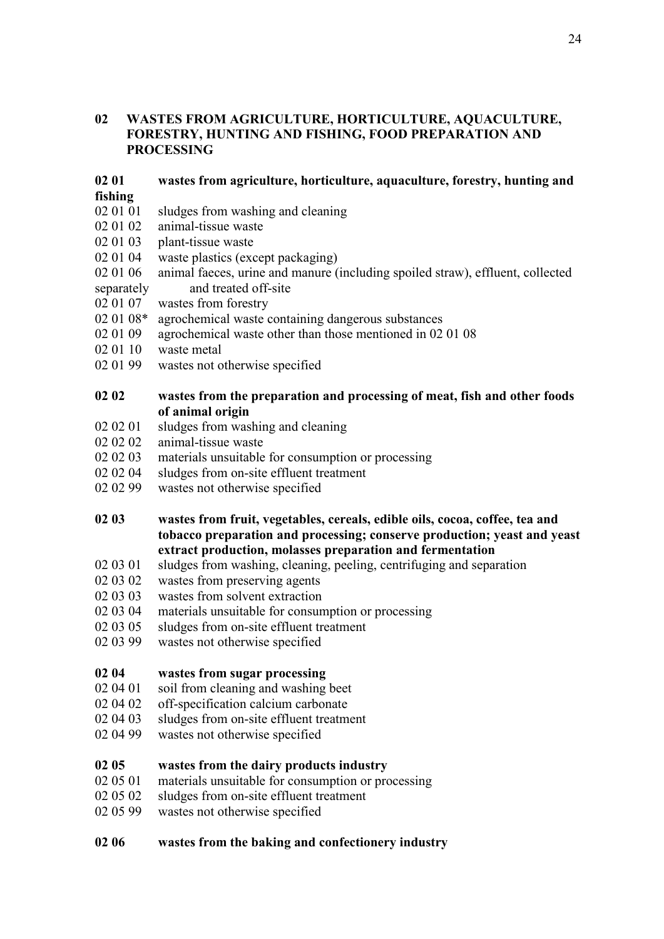### **02 WASTES FROM AGRICULTURE, HORTICULTURE, AQUACULTURE, FORESTRY, HUNTING AND FISHING, FOOD PREPARATION AND PROCESSING**

#### **02 01 wastes from agriculture, horticulture, aquaculture, forestry, hunting and fishing**

- 02 01 01 sludges from washing and cleaning
- 02 01 02 animal-tissue waste
- 02 01 03 plant-tissue waste
- 02 01 04 waste plastics (except packaging)
- 02 01 06 animal faeces, urine and manure (including spoiled straw), effluent, collected separately and treated off-site
- 02 01 07 wastes from forestry
- 02 01 08\* agrochemical waste containing dangerous substances
- 02 01 09 agrochemical waste other than those mentioned in 02 01 08
- 02 01 10 waste metal
- 02 01 99 wastes not otherwise specified

### **02 02 wastes from the preparation and processing of meat, fish and other foods of animal origin**

- 02 02 01 sludges from washing and cleaning
- 02 02 02 animal-tissue waste
- 02 02 03 materials unsuitable for consumption or processing
- 02 02 04 sludges from on-site effluent treatment
- 02 02 99 wastes not otherwise specified
- **02 03 wastes from fruit, vegetables, cereals, edible oils, cocoa, coffee, tea and tobacco preparation and processing; conserve production; yeast and yeast extract production, molasses preparation and fermentation**
- 02 03 01 sludges from washing, cleaning, peeling, centrifuging and separation
- 02 03 02 wastes from preserving agents
- 02 03 03 wastes from solvent extraction
- 02 03 04 materials unsuitable for consumption or processing
- 02 03 05 sludges from on-site effluent treatment
- 02 03 99 wastes not otherwise specified

#### **02 04 wastes from sugar processing**

- 02 04 01 soil from cleaning and washing beet
- 02 04 02 off-specification calcium carbonate
- 02 04 03 sludges from on-site effluent treatment
- 02 04 99 wastes not otherwise specified

#### **02 05 wastes from the dairy products industry**

- 02 05 01 materials unsuitable for consumption or processing
- 02 05 02 sludges from on-site effluent treatment
- 02 05 99 wastes not otherwise specified

## **02 06 wastes from the baking and confectionery industry**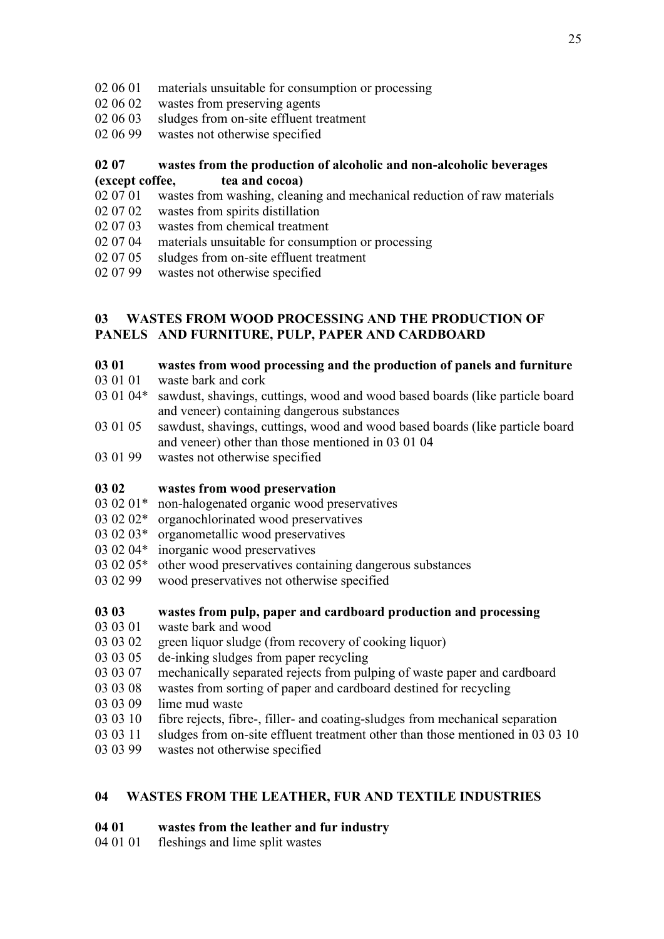- 02 06 01 materials unsuitable for consumption or processing
- 02 06 02 wastes from preserving agents
- 02 06 03 sludges from on-site effluent treatment
- 02 06 99 wastes not otherwise specified

## **02 07 wastes from the production of alcoholic and non-alcoholic beverages (except coffee, tea and cocoa)**

- 02 07 01 wastes from washing, cleaning and mechanical reduction of raw materials
- 02 07 02 wastes from spirits distillation
- 02 07 03 wastes from chemical treatment
- 02 07 04 materials unsuitable for consumption or processing
- 02 07 05 sludges from on-site effluent treatment
- 02 07 99 wastes not otherwise specified

## **03 WASTES FROM WOOD PROCESSING AND THE PRODUCTION OF PANELS AND FURNITURE, PULP, PAPER AND CARDBOARD**

## **03 01 wastes from wood processing and the production of panels and furniture**

- 03 01 01 waste bark and cork
- 03 01 04\* sawdust, shavings, cuttings, wood and wood based boards (like particle board and veneer) containing dangerous substances
- 03 01 05 sawdust, shavings, cuttings, wood and wood based boards (like particle board and veneer) other than those mentioned in 03 01 04
- 03 01 99 wastes not otherwise specified

## **03 02 wastes from wood preservation**

- 03 02 01\* non-halogenated organic wood preservatives
- 03 02 02\* organochlorinated wood preservatives
- 03 02 03\* organometallic wood preservatives
- 03 02 04\* inorganic wood preservatives
- 03 02 05\* other wood preservatives containing dangerous substances
- 03 02 99 wood preservatives not otherwise specified
- **03 03 wastes from pulp, paper and cardboard production and processing**
- 03 03 01 waste bark and wood
- 03 03 02 green liquor sludge (from recovery of cooking liquor)
- 03 03 05 de-inking sludges from paper recycling
- 03 03 07 mechanically separated rejects from pulping of waste paper and cardboard
- 03 03 08 wastes from sorting of paper and cardboard destined for recycling
- 03 03 09 lime mud waste
- 03 03 10 fibre rejects, fibre-, filler- and coating-sludges from mechanical separation
- 03 03 11 sludges from on-site effluent treatment other than those mentioned in 03 03 10
- 03 03 99 wastes not otherwise specified

## **04 WASTES FROM THE LEATHER, FUR AND TEXTILE INDUSTRIES**

## **04 01 wastes from the leather and fur industry**

04 01 01 fleshings and lime split wastes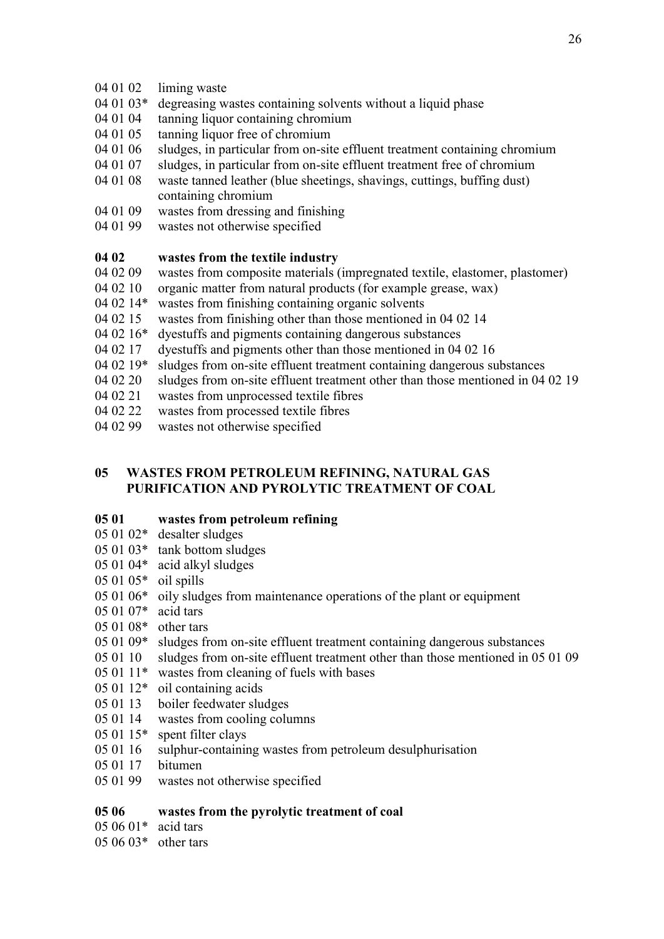- 04 01 02 liming waste
- 04 01 03\* degreasing wastes containing solvents without a liquid phase
- 04 01 04 tanning liquor containing chromium
- 04 01 05 tanning liquor free of chromium
- 04 01 06 sludges, in particular from on-site effluent treatment containing chromium
- 04 01 07 sludges, in particular from on-site effluent treatment free of chromium
- 04 01 08 waste tanned leather (blue sheetings, shavings, cuttings, buffing dust) containing chromium
- 04 01 09 wastes from dressing and finishing
- 04 01 99 wastes not otherwise specified

#### **04 02 wastes from the textile industry**

- 04 02 09 wastes from composite materials (impregnated textile, elastomer, plastomer)
- 04 02 10 organic matter from natural products (for example grease, wax)
- 04 02 14\* wastes from finishing containing organic solvents
- 04 02 15 wastes from finishing other than those mentioned in 04 02 14
- 04 02 16\* dyestuffs and pigments containing dangerous substances
- 04 02 17 dyestuffs and pigments other than those mentioned in 04 02 16
- 04 02 19\* sludges from on-site effluent treatment containing dangerous substances
- 04 02 20 sludges from on-site effluent treatment other than those mentioned in 04 02 19
- 04 02 21 wastes from unprocessed textile fibres
- 04 02 22 wastes from processed textile fibres
- 04 02 99 wastes not otherwise specified

## **05 WASTES FROM PETROLEUM REFINING, NATURAL GAS PURIFICATION AND PYROLYTIC TREATMENT OF COAL**

#### **05 01 wastes from petroleum refining**

- 05 01 02\* desalter sludges
- 05 01 03\* tank bottom sludges
- 05 01 04\* acid alkyl sludges
- 05 01 05\* oil spills
- 05 01 06\* oily sludges from maintenance operations of the plant or equipment
- 05 01 07\* acid tars
- 05 01 08\* other tars
- 05 01 09\* sludges from on-site effluent treatment containing dangerous substances
- 05 01 10 sludges from on-site effluent treatment other than those mentioned in 05 01 09
- 05 01 11\* wastes from cleaning of fuels with bases
- 05 01 12\* oil containing acids
- 05 01 13 boiler feedwater sludges
- 05 01 14 wastes from cooling columns
- 05 01 15\* spent filter clays
- 05 01 16 sulphur-containing wastes from petroleum desulphurisation
- 05 01 17 bitumen
- 05 01 99 wastes not otherwise specified

### **05 06 wastes from the pyrolytic treatment of coal**

05 06 01\* acid tars

#### 05 06 03\* other tars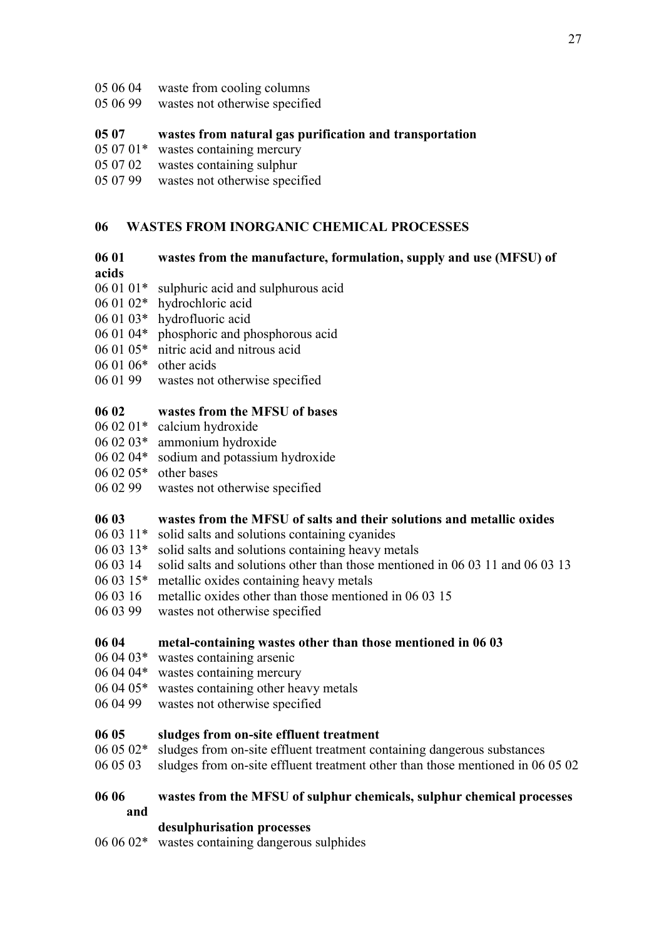- 05 06 04 waste from cooling columns
- 05 06 99 wastes not otherwise specified

## **05 07 wastes from natural gas purification and transportation**

- 05 07 01\* wastes containing mercury
- 05 07 02 wastes containing sulphur
- 05 07 99 wastes not otherwise specified

## **06 WASTES FROM INORGANIC CHEMICAL PROCESSES**

#### **06 01 wastes from the manufacture, formulation, supply and use (MFSU) of**

#### **acids**

- 06 01 01\* sulphuric acid and sulphurous acid
- 06 01 02\* hydrochloric acid
- 06 01 03\* hydrofluoric acid
- 06 01 04\* phosphoric and phosphorous acid
- 06 01 05\* nitric acid and nitrous acid
- 06 01 06\* other acids
- 06 01 99 wastes not otherwise specified

#### **06 02 wastes from the MFSU of bases**

- 06 02 01\* calcium hydroxide
- 06 02 03\* ammonium hydroxide
- 06 02 04\* sodium and potassium hydroxide
- 06 02 05\* other bases
- 06 02 99 wastes not otherwise specified

#### **06 03 wastes from the MFSU of salts and their solutions and metallic oxides**

- 06 03 11\* solid salts and solutions containing cyanides
- 06 03 13\* solid salts and solutions containing heavy metals
- 06 03 14 solid salts and solutions other than those mentioned in 06 03 11 and 06 03 13
- 06 03 15\* metallic oxides containing heavy metals
- 06 03 16 metallic oxides other than those mentioned in 06 03 15
- 06 03 99 wastes not otherwise specified

#### **06 04 metal-containing wastes other than those mentioned in 06 03**

- 06 04 03\* wastes containing arsenic
- 06 04 04\* wastes containing mercury
- 06 04 05\* wastes containing other heavy metals
- 06 04 99 wastes not otherwise specified

#### **06 05 sludges from on-site effluent treatment**

- 06 05 02\* sludges from on-site effluent treatment containing dangerous substances
- 06 05 03 sludges from on-site effluent treatment other than those mentioned in 06 05 02

#### **06 06 wastes from the MFSU of sulphur chemicals, sulphur chemical processes and**

**desulphurisation processes**

06 06 02\* wastes containing dangerous sulphides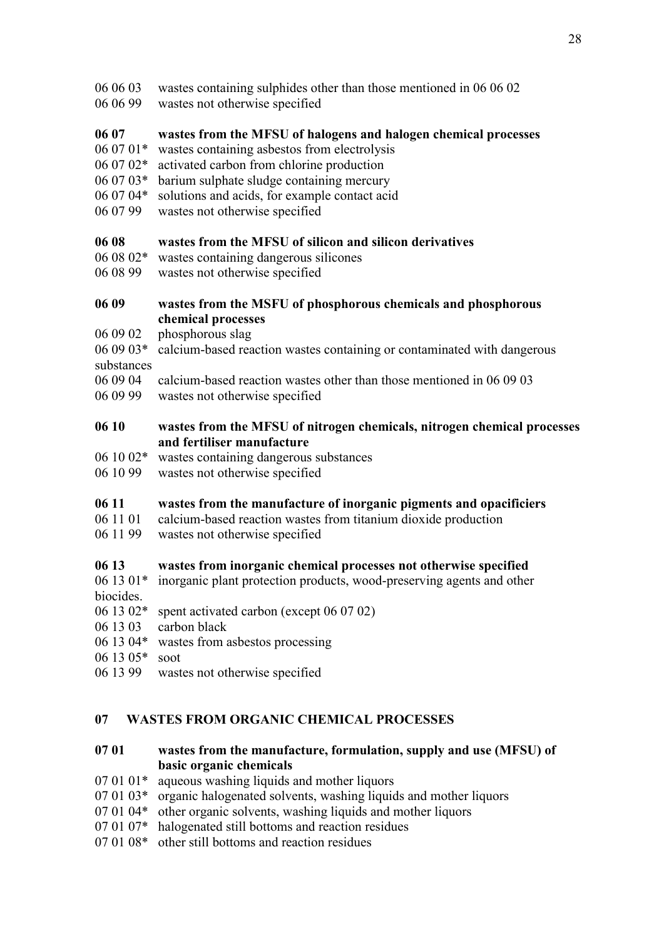- 06 06 03 wastes containing sulphides other than those mentioned in 06 06 02
- 06 06 99 wastes not otherwise specified

## **06 07 wastes from the MFSU of halogens and halogen chemical processes**

- 06 07 01\* wastes containing asbestos from electrolysis
- 06 07 02\* activated carbon from chlorine production
- 06 07 03\* barium sulphate sludge containing mercury
- 06 07 04\* solutions and acids, for example contact acid
- 06 07 99 wastes not otherwise specified

## **06 08 wastes from the MFSU of silicon and silicon derivatives**

- 06 08 02\* wastes containing dangerous silicones
- 06 08 99 wastes not otherwise specified

### **06 09 wastes from the MSFU of phosphorous chemicals and phosphorous chemical processes**

- 06 09 02 phosphorous slag
- 06 09 03\* calcium-based reaction wastes containing or contaminated with dangerous substances
- 06 09 04 calcium-based reaction wastes other than those mentioned in 06 09 03
- 06 09 99 wastes not otherwise specified

### **06 10 wastes from the MFSU of nitrogen chemicals, nitrogen chemical processes and fertiliser manufacture**

- 06 10 02\* wastes containing dangerous substances
- 06 10 99 wastes not otherwise specified

#### **06 11 wastes from the manufacture of inorganic pigments and opacificiers**

- 06 11 01 calcium-based reaction wastes from titanium dioxide production
- 06 11 99 wastes not otherwise specified

## **06 13 wastes from inorganic chemical processes not otherwise specified**

- 06 13 01\* inorganic plant protection products, wood-preserving agents and other biocides.
- 06 13 02\* spent activated carbon (except 06 07 02)
- 06 13 03 carbon black
- 06 13 04\* wastes from asbestos processing
- 06 13 05\* soot
- 06 13 99 wastes not otherwise specified

## **07 WASTES FROM ORGANIC CHEMICAL PROCESSES**

## **07 01 wastes from the manufacture, formulation, supply and use (MFSU) of basic organic chemicals**

- $070101*$  aqueous washing liquids and mother liquors
- 07 01 03\* organic halogenated solvents, washing liquids and mother liquors
- 07 01 04\* other organic solvents, washing liquids and mother liquors
- 07 01 07\* halogenated still bottoms and reaction residues
- 07 01 08\* other still bottoms and reaction residues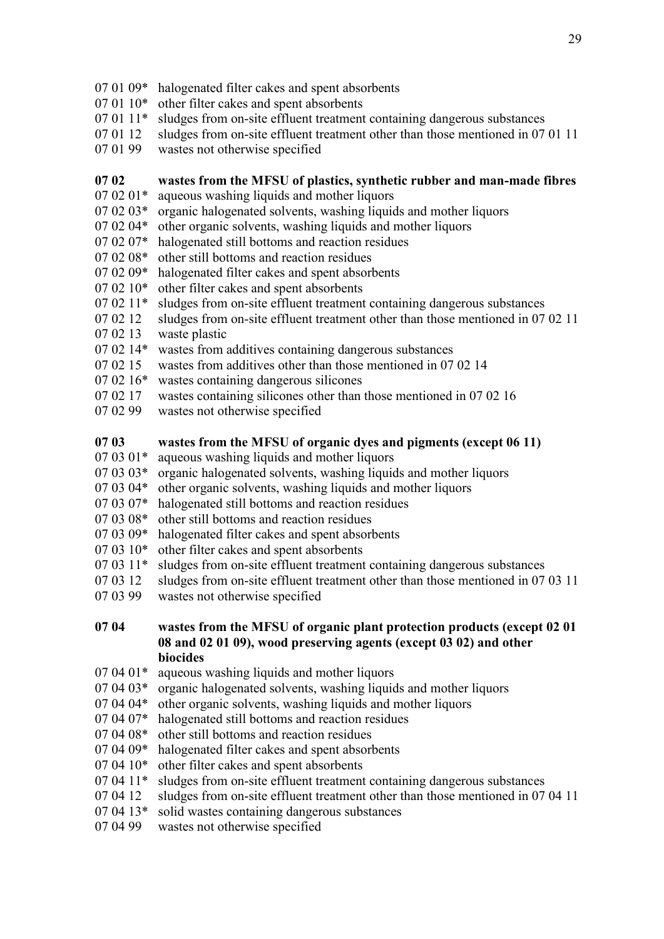- 07 01 09\* halogenated filter cakes and spent absorbents
- 07 01 10\* other filter cakes and spent absorbents
- 07 01 11\* sludges from on-site effluent treatment containing dangerous substances
- 07 01 12 sludges from on-site effluent treatment other than those mentioned in 07 01 11
- 07 01 99 wastes not otherwise specified

## **07 02 wastes from the MFSU of plastics, synthetic rubber and man-made fibres**

- 07 02 01\* aqueous washing liquids and mother liquors
- 07 02 03\* organic halogenated solvents, washing liquids and mother liquors
- 07 02 04\* other organic solvents, washing liquids and mother liquors
- 07 02 07\* halogenated still bottoms and reaction residues
- 07 02 08\* other still bottoms and reaction residues
- 07 02 09\* halogenated filter cakes and spent absorbents
- 07 02 10\* other filter cakes and spent absorbents
- 07 02 11\* sludges from on-site effluent treatment containing dangerous substances
- 07 02 12 sludges from on-site effluent treatment other than those mentioned in 07 02 11
- 07 02 13 waste plastic
- 07 02 14\* wastes from additives containing dangerous substances
- 07 02 15 wastes from additives other than those mentioned in 07 02 14
- 07 02 16\* wastes containing dangerous silicones
- 07 02 17 wastes containing silicones other than those mentioned in 07 02 16
- 07 02 99 wastes not otherwise specified

## **07 03 wastes from the MFSU of organic dyes and pigments (except 06 11)**

- 07 03 01\* aqueous washing liquids and mother liquors
- 07 03 03\* organic halogenated solvents, washing liquids and mother liquors
- 07 03 04\* other organic solvents, washing liquids and mother liquors
- 07 03 07\* halogenated still bottoms and reaction residues
- 07 03 08\* other still bottoms and reaction residues
- 07 03 09\* halogenated filter cakes and spent absorbents
- 07 03 10\* other filter cakes and spent absorbents
- 07 03 11\* sludges from on-site effluent treatment containing dangerous substances
- 07 03 12 sludges from on-site effluent treatment other than those mentioned in 07 03 11
- 07 03 99 wastes not otherwise specified
- **07 04 wastes from the MFSU of organic plant protection products (except 02 01 08 and 02 01 09), wood preserving agents (except 03 02) and other biocides**
- $070401*$  aqueous washing liquids and mother liquors
- 07 04 03\* organic halogenated solvents, washing liquids and mother liquors
- 07 04 04\* other organic solvents, washing liquids and mother liquors
- 07 04 07\* halogenated still bottoms and reaction residues
- 07 04 08\* other still bottoms and reaction residues
- 07 04 09\* halogenated filter cakes and spent absorbents
- 07 04 10\* other filter cakes and spent absorbents
- 07 04 11\* sludges from on-site effluent treatment containing dangerous substances
- 07 04 12 sludges from on-site effluent treatment other than those mentioned in 07 04 11
- 07 04 13\* solid wastes containing dangerous substances
- 07 04 99 wastes not otherwise specified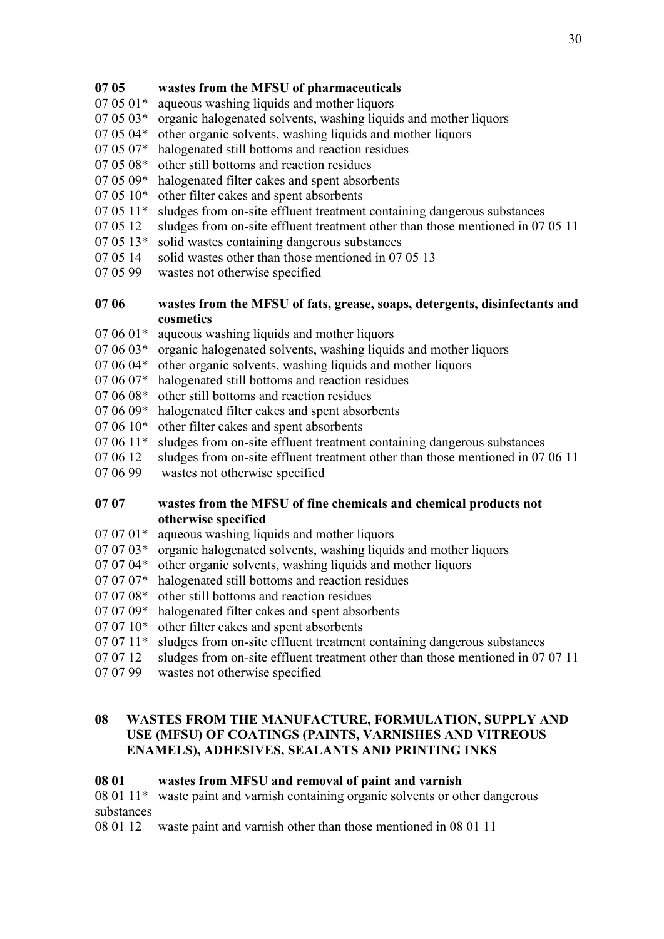## **07 05 wastes from the MFSU of pharmaceuticals**

- 07 05 01\* aqueous washing liquids and mother liquors
- 07 05 03\* organic halogenated solvents, washing liquids and mother liquors
- 07 05 04\* other organic solvents, washing liquids and mother liquors
- 07 05 07\* halogenated still bottoms and reaction residues
- 07 05 08\* other still bottoms and reaction residues
- 07 05 09\* halogenated filter cakes and spent absorbents
- 07 05 10\* other filter cakes and spent absorbents
- 07 05 11\* sludges from on-site effluent treatment containing dangerous substances
- 07 05 12 sludges from on-site effluent treatment other than those mentioned in 07 05 11
- 07 05 13\* solid wastes containing dangerous substances
- 07 05 14 solid wastes other than those mentioned in 07 05 13
- 07 05 99 wastes not otherwise specified

#### **07 06 wastes from the MFSU of fats, grease, soaps, detergents, disinfectants and cosmetics**

- 07 06 01\* aqueous washing liquids and mother liquors
- 07 06 03\* organic halogenated solvents, washing liquids and mother liquors
- 07 06 04\* other organic solvents, washing liquids and mother liquors
- 07 06 07\* halogenated still bottoms and reaction residues
- 07 06 08\* other still bottoms and reaction residues
- 07 06 09\* halogenated filter cakes and spent absorbents
- 07 06 10\* other filter cakes and spent absorbents
- 07 06 11\* sludges from on-site effluent treatment containing dangerous substances
- 07 06 12 sludges from on-site effluent treatment other than those mentioned in 07 06 11
- 07 06 99 wastes not otherwise specified

#### **07 07 wastes from the MFSU of fine chemicals and chemical products not otherwise specified**

- $07 07 01*$  aqueous washing liquids and mother liquors
- 07 07 03\* organic halogenated solvents, washing liquids and mother liquors
- 07 07 04\* other organic solvents, washing liquids and mother liquors
- 07 07 07\* halogenated still bottoms and reaction residues
- 07 07 08\* other still bottoms and reaction residues
- 07 07 09\* halogenated filter cakes and spent absorbents
- 07 07 10\* other filter cakes and spent absorbents
- 07 07 11\* sludges from on-site effluent treatment containing dangerous substances
- 07 07 12 sludges from on-site effluent treatment other than those mentioned in 07 07 11
- 07 07 99 wastes not otherwise specified

## **08 WASTES FROM THE MANUFACTURE, FORMULATION, SUPPLY AND USE (MFSU) OF COATINGS (PAINTS, VARNISHES AND VITREOUS ENAMELS), ADHESIVES, SEALANTS AND PRINTING INKS**

#### **08 01 wastes from MFSU and removal of paint and varnish**

08 01 11\* waste paint and varnish containing organic solvents or other dangerous substances

08 01 12 waste paint and varnish other than those mentioned in 08 01 11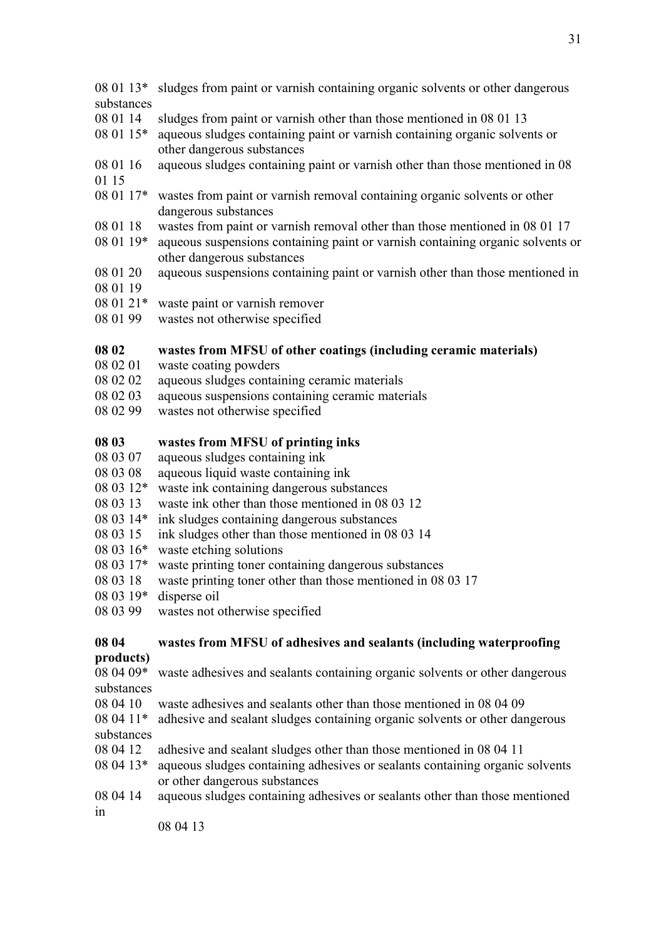#### 08 01 13\* sludges from paint or varnish containing organic solvents or other dangerous substances

- 08 01 14 sludges from paint or varnish other than those mentioned in 08 01 13
- 08 01 15\* aqueous sludges containing paint or varnish containing organic solvents or other dangerous substances
- 08 01 16 aqueous sludges containing paint or varnish other than those mentioned in 08 01 15
- 08 01 17\* wastes from paint or varnish removal containing organic solvents or other dangerous substances
- 08 01 18 wastes from paint or varnish removal other than those mentioned in 08 01 17
- 08 01 19\* aqueous suspensions containing paint or varnish containing organic solvents or other dangerous substances
- 08 01 20 aqueous suspensions containing paint or varnish other than those mentioned in
- 08 01 19
- 08 01 21\* waste paint or varnish remover
- 08 01 99 wastes not otherwise specified

#### **08 02 wastes from MFSU of other coatings (including ceramic materials)**

- 08 02 01 waste coating powders
- 08 02 02 aqueous sludges containing ceramic materials
- 08 02 03 aqueous suspensions containing ceramic materials
- 08 02 99 wastes not otherwise specified

#### **08 03 wastes from MFSU of printing inks**

- 08 03 07 aqueous sludges containing ink
- 08 03 08 aqueous liquid waste containing ink
- 08 03 12\* waste ink containing dangerous substances
- 08 03 13 waste ink other than those mentioned in 08 03 12
- 08 03 14\* ink sludges containing dangerous substances
- 08 03 15 ink sludges other than those mentioned in 08 03 14
- 08 03 16\* waste etching solutions
- 08 03 17\* waste printing toner containing dangerous substances
- 08 03 18 waste printing toner other than those mentioned in 08 03 17
- 08 03 19\* disperse oil
- 08 03 99 wastes not otherwise specified

#### **08 04 wastes from MFSU of adhesives and sealants (including waterproofing products)**

08 04 09\* waste adhesives and sealants containing organic solvents or other dangerous substances

- 08 04 10 waste adhesives and sealants other than those mentioned in 08 04 09
- 08 04 11\* adhesive and sealant sludges containing organic solvents or other dangerous substances
- 08 04 12 adhesive and sealant sludges other than those mentioned in 08 04 11
- 08 04 13\* aqueous sludges containing adhesives or sealants containing organic solvents or other dangerous substances
- 08 04 14 aqueous sludges containing adhesives or sealants other than those mentioned in

08 04 13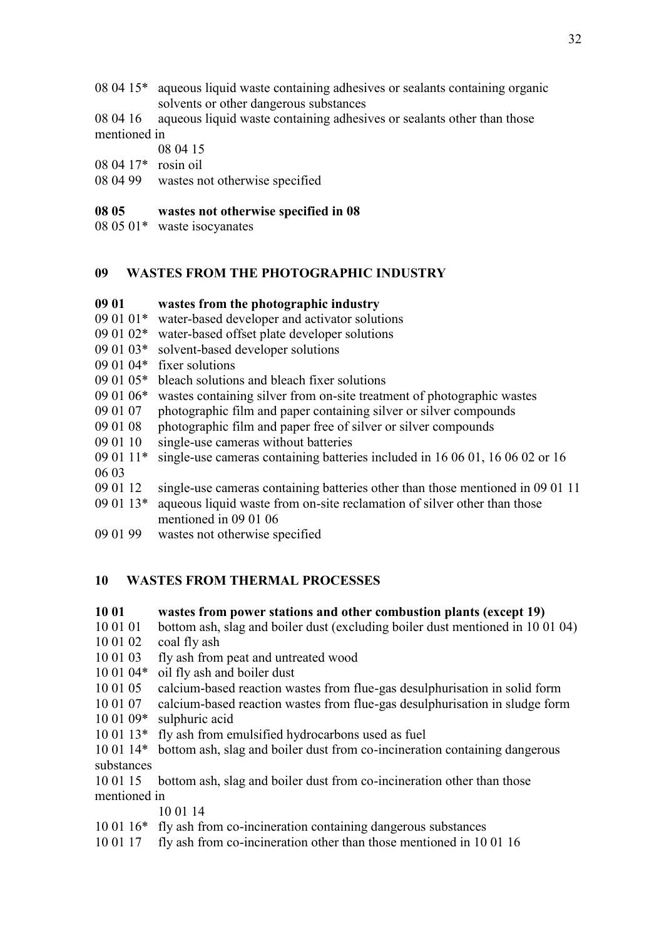- 08 04 15\* aqueous liquid waste containing adhesives or sealants containing organic solvents or other dangerous substances
- 08 04 16 aqueous liquid waste containing adhesives or sealants other than those mentioned in

08 04 15

- 08 04 17\* rosin oil
- 08 04 99 wastes not otherwise specified

#### **08 05 wastes not otherwise specified in 08**

08 05 01\* waste isocyanates

#### **09 WASTES FROM THE PHOTOGRAPHIC INDUSTRY**

#### **09 01 wastes from the photographic industry**

- 09 01 01\* water-based developer and activator solutions
- 09 01 02\* water-based offset plate developer solutions
- 09 01 03\* solvent-based developer solutions
- 09 01 04\* fixer solutions
- 09 01 05\* bleach solutions and bleach fixer solutions
- 09 01 06\* wastes containing silver from on-site treatment of photographic wastes
- 09 01 07 photographic film and paper containing silver or silver compounds
- 09 01 08 photographic film and paper free of silver or silver compounds
- 09 01 10 single-use cameras without batteries
- 09 01 11\* single-use cameras containing batteries included in 16 06 01, 16 06 02 or 16 06 03
- 09 01 12 single-use cameras containing batteries other than those mentioned in 09 01 11
- 09 01 13\* aqueous liquid waste from on-site reclamation of silver other than those mentioned in 09 01 06
- 09 01 99 wastes not otherwise specified

## **10 WASTES FROM THERMAL PROCESSES**

#### **10 01 wastes from power stations and other combustion plants (except 19)**

10 01 01 bottom ash, slag and boiler dust (excluding boiler dust mentioned in 10 01 04)

- 10 01 02 coal fly ash
- 10 01 03 fly ash from peat and untreated wood
- 10 01 04\* oil fly ash and boiler dust
- 10 01 05 calcium-based reaction wastes from flue-gas desulphurisation in solid form
- 10 01 07 calcium-based reaction wastes from flue-gas desulphurisation in sludge form
- 10 01 09\* sulphuric acid
- 10 01 13\* fly ash from emulsified hydrocarbons used as fuel
- 10 01 14\* bottom ash, slag and boiler dust from co-incineration containing dangerous substances
- 10 01 15 bottom ash, slag and boiler dust from co-incineration other than those mentioned in

10 01 14

- 10 01 16\* fly ash from co-incineration containing dangerous substances
- 10 01 17 fly ash from co-incineration other than those mentioned in 10 01 16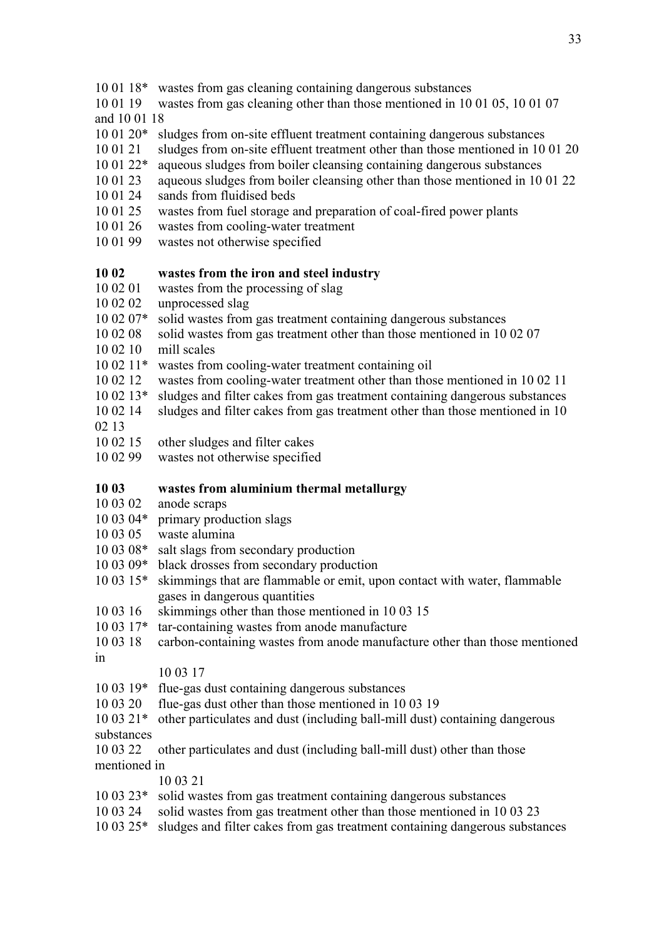- 10 01 18\* wastes from gas cleaning containing dangerous substances
- 10 01 19 wastes from gas cleaning other than those mentioned in 10 01 05, 10 01 07 and 10 01 18
- 10 01 20\* sludges from on-site effluent treatment containing dangerous substances
- 10 01 21 sludges from on-site effluent treatment other than those mentioned in 10 01 20
- 10 01 22\* aqueous sludges from boiler cleansing containing dangerous substances
- 10 01 23 aqueous sludges from boiler cleansing other than those mentioned in 10 01 22
- 10 01 24 sands from fluidised beds
- 10 01 25 wastes from fuel storage and preparation of coal-fired power plants
- 10 01 26 wastes from cooling-water treatment
- 10 01 99 wastes not otherwise specified

## **10 02 wastes from the iron and steel industry**

## 10 02 01 wastes from the processing of slag

- 10 02 02 unprocessed slag
- 10 02 07\* solid wastes from gas treatment containing dangerous substances
- 10 02 08 solid wastes from gas treatment other than those mentioned in 10 02 07
- 10 02 10 mill scales
- 10 02 11\* wastes from cooling-water treatment containing oil
- 10 02 12 wastes from cooling-water treatment other than those mentioned in 10 02 11
- 10 02 13\* sludges and filter cakes from gas treatment containing dangerous substances
- 10 02 14 sludges and filter cakes from gas treatment other than those mentioned in 10 02 13
- 
- 10 02 15 other sludges and filter cakes
- 10 02 99 wastes not otherwise specified

## **10 03 wastes from aluminium thermal metallurgy**

- 10 03 02 anode scraps
- 10 03 04\* primary production slags
- 10 03 05 waste alumina
- 10 03 08\* salt slags from secondary production
- 10 03 09\* black drosses from secondary production
- 10 03 15\* skimmings that are flammable or emit, upon contact with water, flammable gases in dangerous quantities
- 10 03 16 skimmings other than those mentioned in 10 03 15
- 10 03 17\* tar-containing wastes from anode manufacture
- 10 03 18 carbon-containing wastes from anode manufacture other than those mentioned in

#### 10 03 17

- 10 03 19\* flue-gas dust containing dangerous substances
- 10 03 20 flue-gas dust other than those mentioned in 10 03 19
- 10 03 21\* other particulates and dust (including ball-mill dust) containing dangerous
- substances
- 10 03 22 other particulates and dust (including ball-mill dust) other than those mentioned in

10 03 21

- 10 03 23\* solid wastes from gas treatment containing dangerous substances
- 10 03 24 solid wastes from gas treatment other than those mentioned in 10 03 23
- 10 03 25\* sludges and filter cakes from gas treatment containing dangerous substances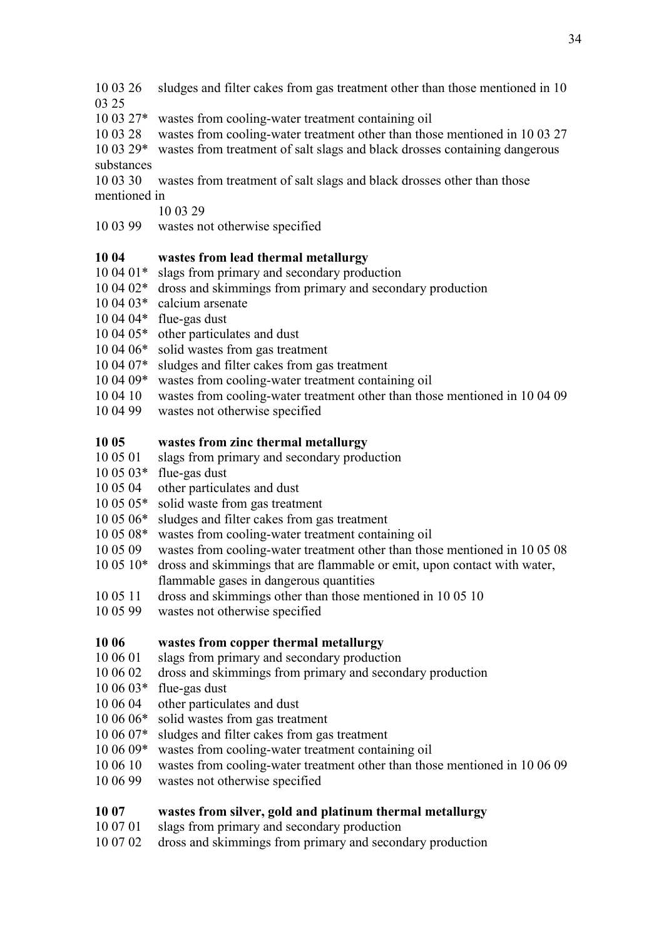- 10 03 26 sludges and filter cakes from gas treatment other than those mentioned in 10
- 03 25
- 10 03 27\* wastes from cooling-water treatment containing oil
- 10 03 28 wastes from cooling-water treatment other than those mentioned in 10 03 27
- 10 03 29\* wastes from treatment of salt slags and black drosses containing dangerous substances
- 10 03 30 wastes from treatment of salt slags and black drosses other than those mentioned in
	- 10 03 29
- 10 03 99 wastes not otherwise specified

## **10 04 wastes from lead thermal metallurgy**

- 10 04 01\* slags from primary and secondary production
- 10 04 02\* dross and skimmings from primary and secondary production
- 10 04 03\* calcium arsenate
- 10 04 04\* flue-gas dust
- 10 04 05\* other particulates and dust
- 10 04 06\* solid wastes from gas treatment
- 10 04 07\* sludges and filter cakes from gas treatment
- 10 04 09\* wastes from cooling-water treatment containing oil
- 10 04 10 wastes from cooling-water treatment other than those mentioned in 10 04 09
- 10 04 99 wastes not otherwise specified

## **10 05 wastes from zinc thermal metallurgy**

- 10 05 01 slags from primary and secondary production
- 10 05 03\* flue-gas dust
- 10 05 04 other particulates and dust
- 10 05 05\* solid waste from gas treatment
- 10 05 06\* sludges and filter cakes from gas treatment
- 10 05 08\* wastes from cooling-water treatment containing oil
- 10 05 09 wastes from cooling-water treatment other than those mentioned in 10 05 08
- 10 05 10\* dross and skimmings that are flammable or emit, upon contact with water, flammable gases in dangerous quantities
- 10 05 11 dross and skimmings other than those mentioned in 10 05 10
- 10 05 99 wastes not otherwise specified

#### **10 06 wastes from copper thermal metallurgy**

- 10 06 01 slags from primary and secondary production
- 10 06 02 dross and skimmings from primary and secondary production
- $10\,06\,03*$  flue-gas dust
- 10 06 04 other particulates and dust
- 10 06 06\* solid wastes from gas treatment
- 10 06 07\* sludges and filter cakes from gas treatment
- 10 06 09\* wastes from cooling-water treatment containing oil
- 10 06 10 wastes from cooling-water treatment other than those mentioned in 10 06 09
- 10 06 99 wastes not otherwise specified

## **10 07 wastes from silver, gold and platinum thermal metallurgy**

- 10 07 01 slags from primary and secondary production
- 10 07 02 dross and skimmings from primary and secondary production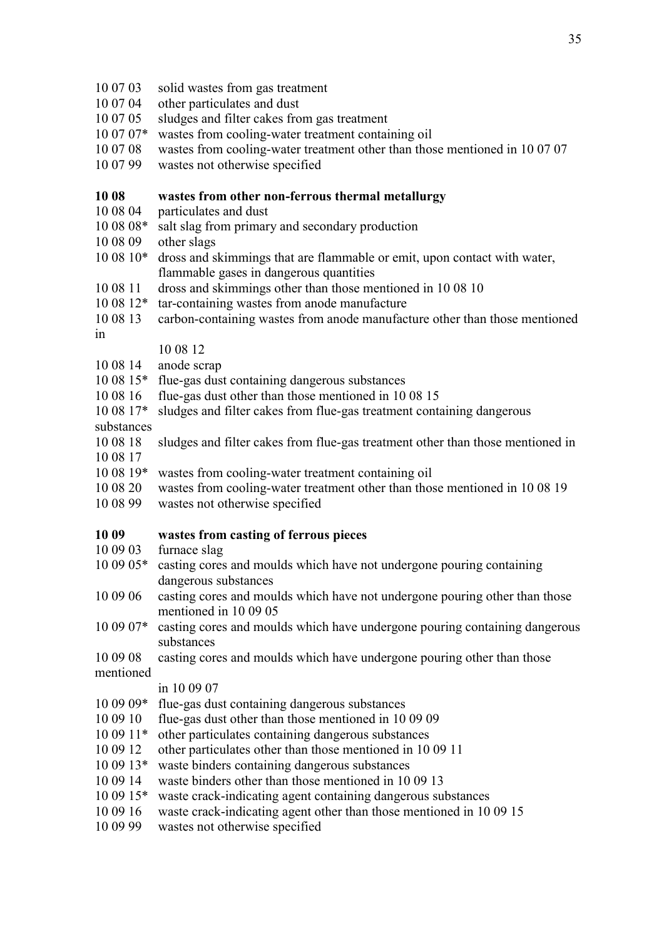10 07 03 solid wastes from gas treatment 10 07 04 other particulates and dust 10 07 05 sludges and filter cakes from gas treatment 10 07 07\* wastes from cooling-water treatment containing oil 10 07 08 wastes from cooling-water treatment other than those mentioned in 10 07 07 10 07 99 wastes not otherwise specified **10 08 wastes from other non-ferrous thermal metallurgy** 10 08 04 particulates and dust 10 08 08\* salt slag from primary and secondary production 10 08 09 other slags 10 08 10\* dross and skimmings that are flammable or emit, upon contact with water, flammable gases in dangerous quantities 10 08 11 dross and skimmings other than those mentioned in 10 08 10 10 08 12\* tar-containing wastes from anode manufacture 10 08 13 carbon-containing wastes from anode manufacture other than those mentioned in 10 08 12 10 08 14 anode scrap 10 08 15\* flue-gas dust containing dangerous substances 10 08 16 flue-gas dust other than those mentioned in 10 08 15 10 08 17\* sludges and filter cakes from flue-gas treatment containing dangerous substances 10 08 18 sludges and filter cakes from flue-gas treatment other than those mentioned in 10 08 17 10 08 19\* wastes from cooling-water treatment containing oil 10 08 20 wastes from cooling-water treatment other than those mentioned in 10 08 19 10 08 99 wastes not otherwise specified **10 09 wastes from casting of ferrous pieces** 10 09 03 furnace slag 10 09 05\* casting cores and moulds which have not undergone pouring containing dangerous substances 10 09 06 casting cores and moulds which have not undergone pouring other than those mentioned in 10 09 05 10 09 07\* casting cores and moulds which have undergone pouring containing dangerous substances 10 09 08 casting cores and moulds which have undergone pouring other than those mentioned in 10 09 07 10 09 09\* flue-gas dust containing dangerous substances 10 09 10 flue-gas dust other than those mentioned in 10 09 09 10 09 11\* other particulates containing dangerous substances 10 09 12 other particulates other than those mentioned in 10 09 11 10 09 13\* waste binders containing dangerous substances 10 09 14 waste binders other than those mentioned in 10 09 13 10 09 15\* waste crack-indicating agent containing dangerous substances 10 09 16 waste crack-indicating agent other than those mentioned in 10 09 15 10 09 99 wastes not otherwise specified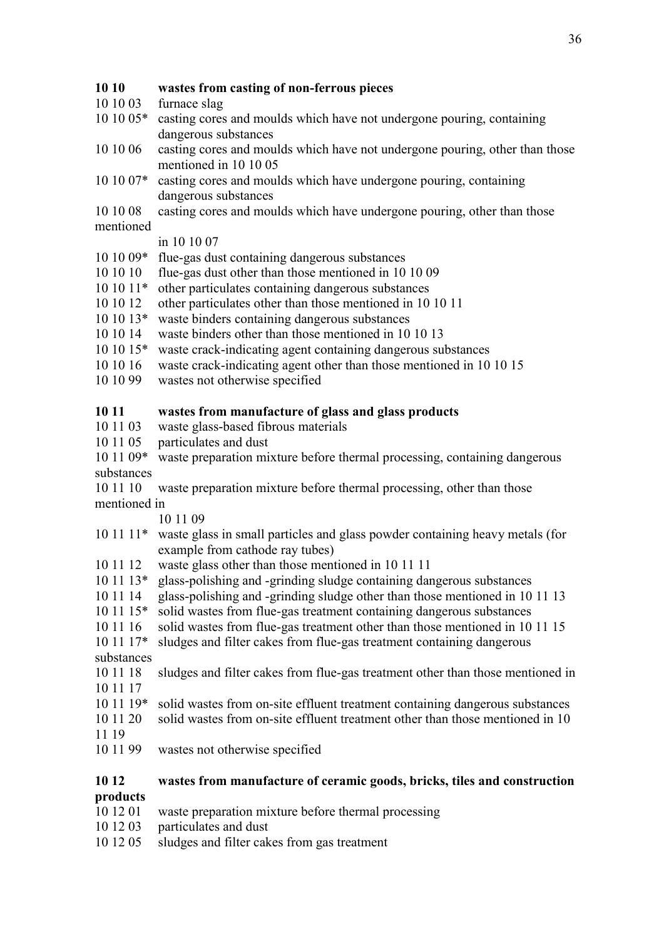### **10 10 wastes from casting of non-ferrous pieces**

- 10 10 03 furnace slag
- 10 10 05\* casting cores and moulds which have not undergone pouring, containing dangerous substances
- 10 10 06 casting cores and moulds which have not undergone pouring, other than those mentioned in 10 10 05
- 10 10 07\* casting cores and moulds which have undergone pouring, containing dangerous substances
- 10 10 08 casting cores and moulds which have undergone pouring, other than those mentioned

#### in 10 10 07

- 10 10 09\* flue-gas dust containing dangerous substances
- 10 10 10 flue-gas dust other than those mentioned in 10 10 09
- 10 10 11\* other particulates containing dangerous substances
- 10 10 12 other particulates other than those mentioned in 10 10 11
- 10 10 13\* waste binders containing dangerous substances
- 10 10 14 waste binders other than those mentioned in 10 10 13
- 10 10 15\* waste crack-indicating agent containing dangerous substances
- 10 10 16 waste crack-indicating agent other than those mentioned in 10 10 15
- 10 10 99 wastes not otherwise specified

## **10 11 wastes from manufacture of glass and glass products**

- 10 11 03 waste glass-based fibrous materials
- 10 11 05 particulates and dust
- 10 11 09\* waste preparation mixture before thermal processing, containing dangerous substances
- 10 11 10 waste preparation mixture before thermal processing, other than those mentioned in

10 11 09

- 10 11 11\* waste glass in small particles and glass powder containing heavy metals (for example from cathode ray tubes)
- 10 11 12 waste glass other than those mentioned in 10 11 11
- 10 11 13\* glass-polishing and -grinding sludge containing dangerous substances
- 10 11 14 glass-polishing and -grinding sludge other than those mentioned in 10 11 13
- 10 11 15\* solid wastes from flue-gas treatment containing dangerous substances
- 10 11 16 solid wastes from flue-gas treatment other than those mentioned in 10 11 15
- 10 11 17\* sludges and filter cakes from flue-gas treatment containing dangerous substances
- 
- 10 11 18 sludges and filter cakes from flue-gas treatment other than those mentioned in 10 11 17
- 10 11 19\* solid wastes from on-site effluent treatment containing dangerous substances
- 10 11 20 solid wastes from on-site effluent treatment other than those mentioned in 10 11 19
- 10 11 99 wastes not otherwise specified

#### **10 12 wastes from manufacture of ceramic goods, bricks, tiles and construction products**

- 10 12 01 waste preparation mixture before thermal processing
- 10 12 03 particulates and dust
- 10 12 05 sludges and filter cakes from gas treatment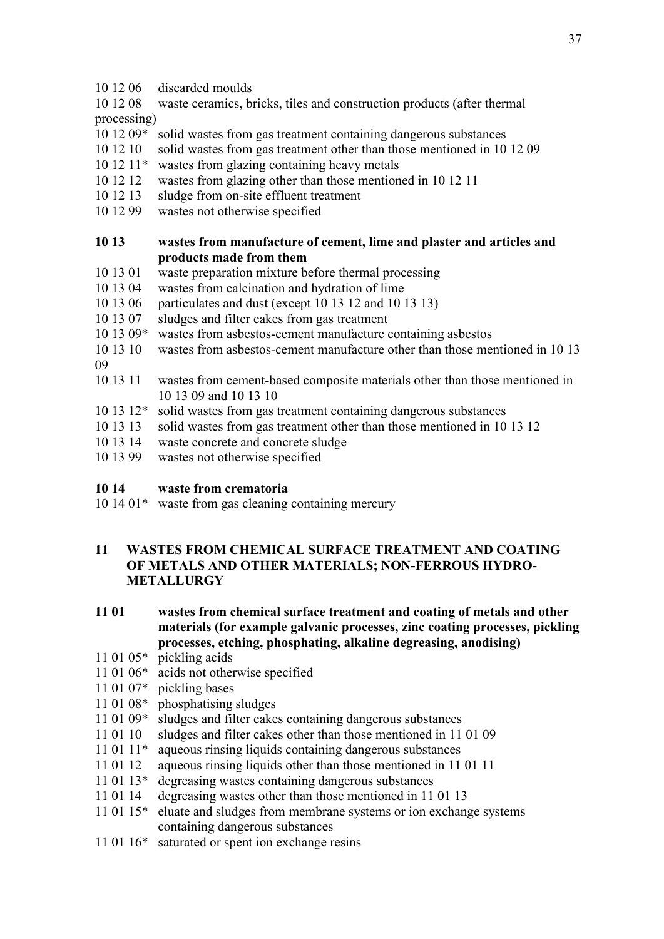10 12 06 discarded moulds

10 12 08 waste ceramics, bricks, tiles and construction products (after thermal processing)

- 10 12 09\* solid wastes from gas treatment containing dangerous substances
- 10 12 10 solid wastes from gas treatment other than those mentioned in 10 12 09
- 10 12 11\* wastes from glazing containing heavy metals
- 10 12 12 wastes from glazing other than those mentioned in 10 12 11
- 10 12 13 sludge from on-site effluent treatment
- 10 12 99 wastes not otherwise specified

### **10 13 wastes from manufacture of cement, lime and plaster and articles and products made from them**

- 10 13 01 waste preparation mixture before thermal processing
- 10 13 04 wastes from calcination and hydration of lime
- 10 13 06 particulates and dust (except 10 13 12 and 10 13 13)
- 10 13 07 sludges and filter cakes from gas treatment
- 10 13 09\* wastes from asbestos-cement manufacture containing asbestos
- 10 13 10 wastes from asbestos-cement manufacture other than those mentioned in 10 13

09

- 10 13 11 wastes from cement-based composite materials other than those mentioned in 10 13 09 and 10 13 10
- 10 13 12\* solid wastes from gas treatment containing dangerous substances
- 10 13 13 solid wastes from gas treatment other than those mentioned in 10 13 12
- 10 13 14 waste concrete and concrete sludge
- 10 13 99 wastes not otherwise specified

#### **10 14 waste from crematoria**

10 14 01\* waste from gas cleaning containing mercury

## **11 WASTES FROM CHEMICAL SURFACE TREATMENT AND COATING OF METALS AND OTHER MATERIALS; NON-FERROUS HYDRO-METALLURGY**

## **11 01 wastes from chemical surface treatment and coating of metals and other materials (for example galvanic processes, zinc coating processes, pickling processes, etching, phosphating, alkaline degreasing, anodising)**

- 11 01 05\* pickling acids
- 11 01 06\* acids not otherwise specified
- 11 01 07\* pickling bases
- 11 01 08\* phosphatising sludges
- 11 01 09\* sludges and filter cakes containing dangerous substances
- 11 01 10 sludges and filter cakes other than those mentioned in 11 01 09
- 11 01 11\* aqueous rinsing liquids containing dangerous substances
- 11 01 12 aqueous rinsing liquids other than those mentioned in 11 01 11
- 11 01 13\* degreasing wastes containing dangerous substances
- 11 01 14 degreasing wastes other than those mentioned in 11 01 13
- 11 01 15\* eluate and sludges from membrane systems or ion exchange systems containing dangerous substances
- 11 01 16\* saturated or spent ion exchange resins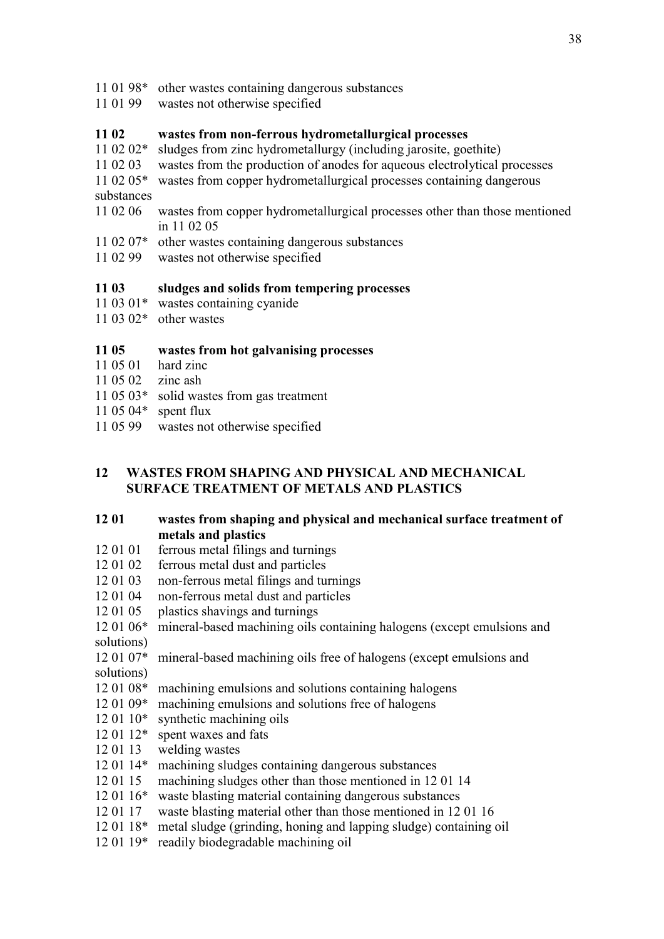- 11 01 98\* other wastes containing dangerous substances
- 11 01 99 wastes not otherwise specified

## **11 02 wastes from non-ferrous hydrometallurgical processes**

- 11 02 02\* sludges from zinc hydrometallurgy (including jarosite, goethite)
- 11 02 03 wastes from the production of anodes for aqueous electrolytical processes
- 11 02 05\* wastes from copper hydrometallurgical processes containing dangerous substances
- 11 02 06 wastes from copper hydrometallurgical processes other than those mentioned in 11 02 05
- 11 02 07\* other wastes containing dangerous substances
- 11 02 99 wastes not otherwise specified

## **11 03 sludges and solids from tempering processes**

- 11 03 01\* wastes containing cyanide
- 11 03 02\* other wastes

## **11 05 wastes from hot galvanising processes**

- 11 05 01 hard zinc
- 11 05 02 zinc ash
- 11 05 03\* solid wastes from gas treatment
- 11 05 04\* spent flux
- 11 05 99 wastes not otherwise specified

## **12 WASTES FROM SHAPING AND PHYSICAL AND MECHANICAL SURFACE TREATMENT OF METALS AND PLASTICS**

## **12 01 wastes from shaping and physical and mechanical surface treatment of metals and plastics**

- 12 01 01 ferrous metal filings and turnings
- 12 01 02 ferrous metal dust and particles
- 12 01 03 non-ferrous metal filings and turnings
- 12 01 04 non-ferrous metal dust and particles
- 12 01 05 plastics shavings and turnings
- 12 01 06\* mineral-based machining oils containing halogens (except emulsions and solutions)
- 12 01 07\* mineral-based machining oils free of halogens (except emulsions and solutions)
- 12 01 08\* machining emulsions and solutions containing halogens
- 12 01 09\* machining emulsions and solutions free of halogens
- 12 01 10\* synthetic machining oils
- 12 01 12\* spent waxes and fats
- 12 01 13 welding wastes
- 12 01 14\* machining sludges containing dangerous substances
- 12 01 15 machining sludges other than those mentioned in 12 01 14
- 12 01 16\* waste blasting material containing dangerous substances
- 12 01 17 waste blasting material other than those mentioned in 12 01 16
- 12 01 18\* metal sludge (grinding, honing and lapping sludge) containing oil
- 12 01 19\* readily biodegradable machining oil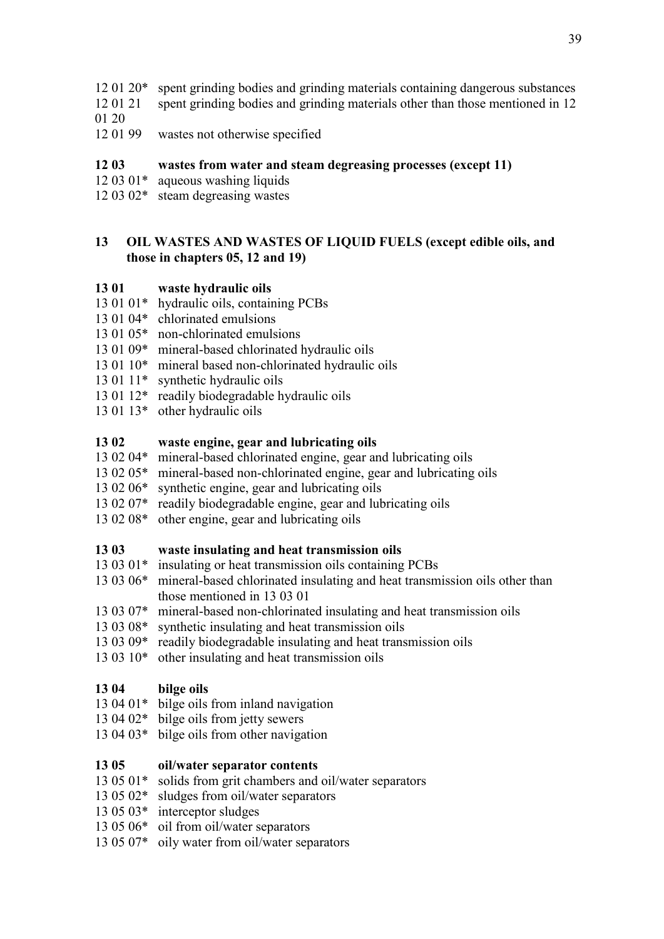- 12 01 20\* spent grinding bodies and grinding materials containing dangerous substances
- 12 01 21 spent grinding bodies and grinding materials other than those mentioned in 12
- 01 20
- 12 01 99 wastes not otherwise specified

## **12 03 wastes from water and steam degreasing processes (except 11)**

- 12 03 01\* aqueous washing liquids
- 12 03 02\* steam degreasing wastes

## **13 OIL WASTES AND WASTES OF LIQUID FUELS (except edible oils, and those in chapters 05, 12 and 19)**

## **13 01 waste hydraulic oils**

- 13 01 01<sup>\*</sup> hydraulic oils, containing PCBs
- 13 01 04\* chlorinated emulsions
- 13 01 05\* non-chlorinated emulsions
- 13 01 09\* mineral-based chlorinated hydraulic oils
- 13 01 10\* mineral based non-chlorinated hydraulic oils
- 13 01 11\* synthetic hydraulic oils
- 13 01 12\* readily biodegradable hydraulic oils
- 13 01 13\* other hydraulic oils

## **13 02 waste engine, gear and lubricating oils**

- 13 02 04\* mineral-based chlorinated engine, gear and lubricating oils
- 13 02 05\* mineral-based non-chlorinated engine, gear and lubricating oils
- 13 02 06\* synthetic engine, gear and lubricating oils
- 13 02 07\* readily biodegradable engine, gear and lubricating oils
- 13 02 08\* other engine, gear and lubricating oils

#### **13 03 waste insulating and heat transmission oils**

- 13 03 01\* insulating or heat transmission oils containing PCBs
- 13 03 06\* mineral-based chlorinated insulating and heat transmission oils other than those mentioned in 13 03 01
- 13 03 07\* mineral-based non-chlorinated insulating and heat transmission oils
- 13 03 08\* synthetic insulating and heat transmission oils
- 13 03 09\* readily biodegradable insulating and heat transmission oils
- 13 03 10\* other insulating and heat transmission oils

#### **13 04 bilge oils**

- 13 04 01\* bilge oils from inland navigation
- 13 04 02\* bilge oils from jetty sewers
- 13 04 03\* bilge oils from other navigation

#### **13 05 oil/water separator contents**

- 13 05 01\* solids from grit chambers and oil/water separators
- 13 05 02\* sludges from oil/water separators
- 13 05 03\* interceptor sludges
- 13 05 06\* oil from oil/water separators
- 13 05 07\* oily water from oil/water separators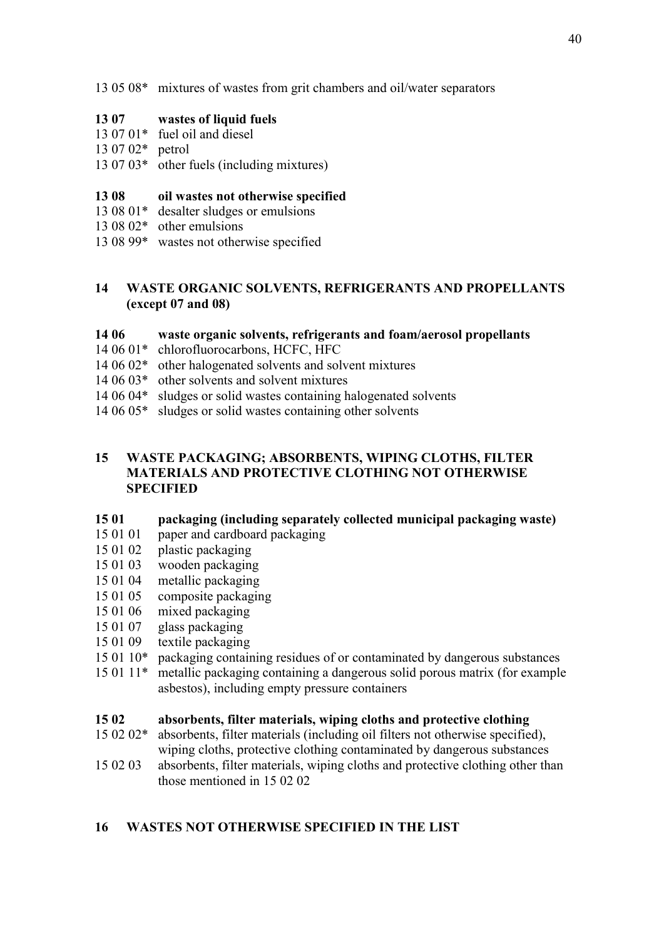13 05 08\* mixtures of wastes from grit chambers and oil/water separators

## **13 07 wastes of liquid fuels**

- 13 07 01\* fuel oil and diesel
- 13 07 02\* petrol
- 13 07 03\* other fuels (including mixtures)

## **13 08 oil wastes not otherwise specified**

- 13 08 01\* desalter sludges or emulsions
- 13 08 02\* other emulsions
- 13 08 99\* wastes not otherwise specified

## **14 WASTE ORGANIC SOLVENTS, REFRIGERANTS AND PROPELLANTS (except 07 and 08)**

## **14 06 waste organic solvents, refrigerants and foam/aerosol propellants**

- 14 06 01\* chlorofluorocarbons, HCFC, HFC
- 14 06 02\* other halogenated solvents and solvent mixtures
- 14 06 03\* other solvents and solvent mixtures
- 14 06 04\* sludges or solid wastes containing halogenated solvents
- 14 06 05\* sludges or solid wastes containing other solvents

## **15 WASTE PACKAGING; ABSORBENTS, WIPING CLOTHS, FILTER MATERIALS AND PROTECTIVE CLOTHING NOT OTHERWISE SPECIFIED**

## **15 01 packaging (including separately collected municipal packaging waste)**

- 15 01 01 paper and cardboard packaging
- 15 01 02 plastic packaging
- 15 01 03 wooden packaging
- 15 01 04 metallic packaging
- 15 01 05 composite packaging
- 15 01 06 mixed packaging
- 15 01 07 glass packaging
- 15 01 09 textile packaging
- 15 01 10\* packaging containing residues of or contaminated by dangerous substances
- 15 01 11\* metallic packaging containing a dangerous solid porous matrix (for example asbestos), including empty pressure containers

## **15 02 absorbents, filter materials, wiping cloths and protective clothing**

- 15 02 02\* absorbents, filter materials (including oil filters not otherwise specified), wiping cloths, protective clothing contaminated by dangerous substances
- 15 02 03 absorbents, filter materials, wiping cloths and protective clothing other than those mentioned in 15 02 02

## **16 WASTES NOT OTHERWISE SPECIFIED IN THE LIST**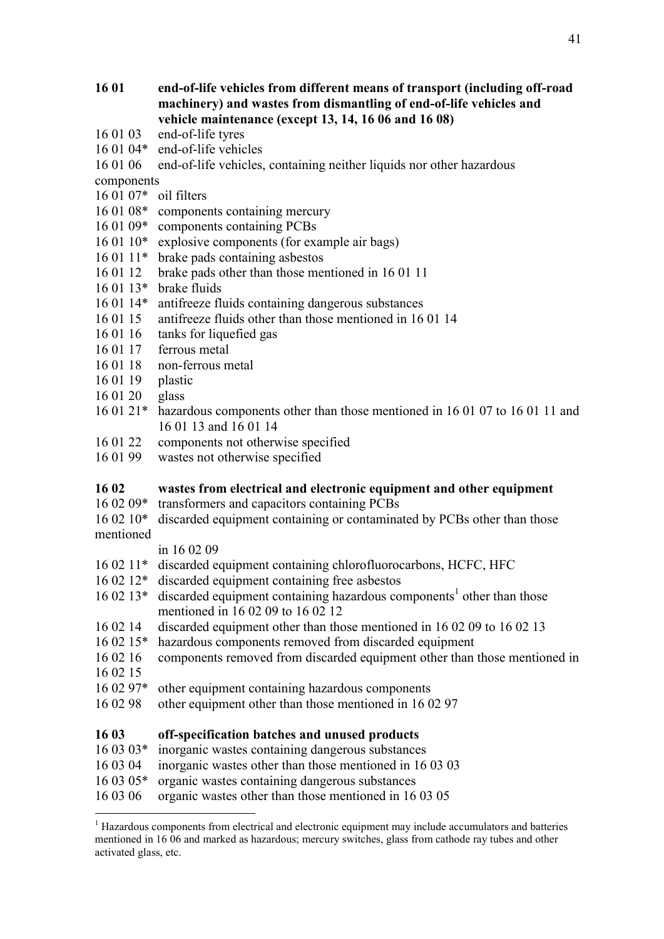## **16 01 end-of-life vehicles from different means of transport (including off-road machinery) and wastes from dismantling of end-of-life vehicles and vehicle maintenance (except 13, 14, 16 06 and 16 08)**

- 16 01 03 end-of-life tyres
- 16 01 04\* end-of-life vehicles
- 16 01 06 end-of-life vehicles, containing neither liquids nor other hazardous

components

- 16 01 07\* oil filters
- 16 01 08\* components containing mercury
- 16 01 09\* components containing PCBs
- 16 01 10\* explosive components (for example air bags)
- 16 01 11\* brake pads containing asbestos
- 16 01 12 brake pads other than those mentioned in 16 01 11
- 16 01 13\* brake fluids
- 16 01 14\* antifreeze fluids containing dangerous substances
- 16 01 15 antifreeze fluids other than those mentioned in 16 01 14
- 16 01 16 tanks for liquefied gas
- 16 01 17 ferrous metal
- 16 01 18 non-ferrous metal
- 16 01 19 plastic
- 16 01 20 glass

<u>.</u>

- 16 01 21\* hazardous components other than those mentioned in 16 01 07 to 16 01 11 and 16 01 13 and 16 01 14
- 16 01 22 components not otherwise specified
- 16 01 99 wastes not otherwise specified

### **16 02 wastes from electrical and electronic equipment and other equipment**

16 02 09\* transformers and capacitors containing PCBs

16 02 10\* discarded equipment containing or contaminated by PCBs other than those mentioned

#### in 16 02 09

- 16 02 11\* discarded equipment containing chlorofluorocarbons, HCFC, HFC
- 16 02 12\* discarded equipment containing free asbestos
- $160213*$  discarded equipment containing hazardous components<sup>1</sup> other than those mentioned in 16 02 09 to 16 02 12
- 16 02 14 discarded equipment other than those mentioned in 16 02 09 to 16 02 13
- 16 02 15\* hazardous components removed from discarded equipment
- 16 02 16 components removed from discarded equipment other than those mentioned in 16 02 15
- 16 02 97\* other equipment containing hazardous components
- 16 02 98 other equipment other than those mentioned in 16 02 97

#### **16 03 off-specification batches and unused products**

- 16 03 03\* inorganic wastes containing dangerous substances
- 16 03 04 inorganic wastes other than those mentioned in 16 03 03
- 16 03 05\* organic wastes containing dangerous substances
- 16 03 06 organic wastes other than those mentioned in 16 03 05

 $<sup>1</sup>$  Hazardous components from electrical and electronic equipment may include accumulators and batteries</sup> mentioned in 16 06 and marked as hazardous; mercury switches, glass from cathode ray tubes and other activated glass, etc.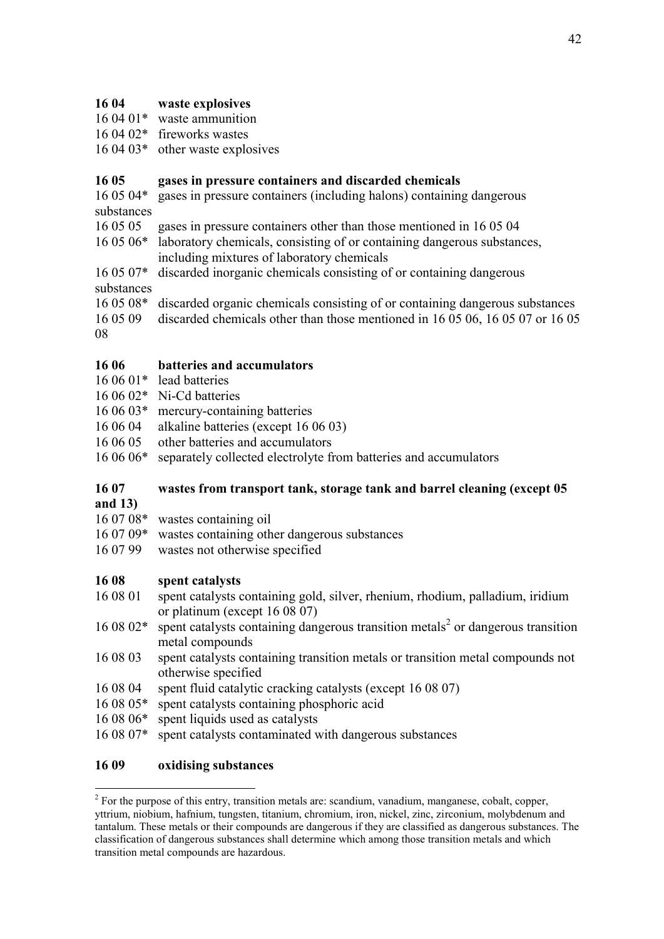## **16 04 waste explosives**

- 16 04 01\* waste ammunition
- 16 04 02\* fireworks wastes
- 16 04 03\* other waste explosives

## **16 05 gases in pressure containers and discarded chemicals**

16 05 04\* gases in pressure containers (including halons) containing dangerous substances

- 16 05 05 gases in pressure containers other than those mentioned in 16 05 04
- 16 05 06\* laboratory chemicals, consisting of or containing dangerous substances, including mixtures of laboratory chemicals
- 16 05 07\* discarded inorganic chemicals consisting of or containing dangerous substances
- 16 05 08\* discarded organic chemicals consisting of or containing dangerous substances
- 16 05 09 discarded chemicals other than those mentioned in 16 05 06, 16 05 07 or 16 05

08

## **16 06 batteries and accumulators**

- 16 06 01\* lead batteries
- 16 06 02\* Ni-Cd batteries
- 16 06 03\* mercury-containing batteries
- 16 06 04 alkaline batteries (except 16 06 03)
- 16 06 05 other batteries and accumulators
- 16 06 06\* separately collected electrolyte from batteries and accumulators

# **16 07 wastes from transport tank, storage tank and barrel cleaning (except 05**

**and 13)**

<u>.</u>

- 16 07 08\* wastes containing oil
- 16 07 09\* wastes containing other dangerous substances
- 16 07 99 wastes not otherwise specified

## **16 08 spent catalysts**

- 16 08 01 spent catalysts containing gold, silver, rhenium, rhodium, palladium, iridium or platinum (except 16 08 07)
- 16 08 02<sup>\*</sup> spent catalysts containing dangerous transition metals<sup>2</sup> or dangerous transition metal compounds
- 16 08 03 spent catalysts containing transition metals or transition metal compounds not otherwise specified
- 16 08 04 spent fluid catalytic cracking catalysts (except 16 08 07)
- 16 08 05\* spent catalysts containing phosphoric acid
- 16 08 06\* spent liquids used as catalysts
- 16 08 07\* spent catalysts contaminated with dangerous substances

## **16 09 oxidising substances**

 $2^2$  For the purpose of this entry, transition metals are: scandium, vanadium, manganese, cobalt, copper, yttrium, niobium, hafnium, tungsten, titanium, chromium, iron, nickel, zinc, zirconium, molybdenum and tantalum. These metals or their compounds are dangerous if they are classified as dangerous substances. The classification of dangerous substances shall determine which among those transition metals and which transition metal compounds are hazardous.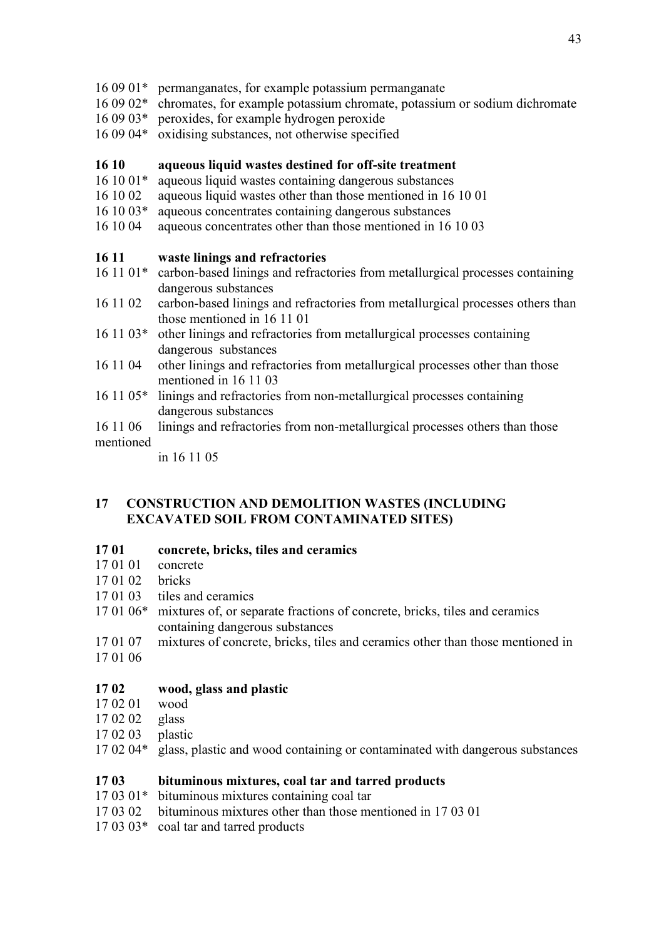- 16 09 01\* permanganates, for example potassium permanganate
- 16 09 02\* chromates, for example potassium chromate, potassium or sodium dichromate
- 16 09 03\* peroxides, for example hydrogen peroxide
- 16 09 04\* oxidising substances, not otherwise specified

## **16 10 aqueous liquid wastes destined for off-site treatment**

- 16 10 01\* aqueous liquid wastes containing dangerous substances
- 16 10 02 aqueous liquid wastes other than those mentioned in 16 10 01
- 16 10 03\* aqueous concentrates containing dangerous substances
- 16 10 04 aqueous concentrates other than those mentioned in 16 10 03

## **16 11 waste linings and refractories**

- 16 11 01\* carbon-based linings and refractories from metallurgical processes containing dangerous substances
- 16 11 02 carbon-based linings and refractories from metallurgical processes others than those mentioned in 16 11 01
- 16 11 03\* other linings and refractories from metallurgical processes containing dangerous substances
- 16 11 04 other linings and refractories from metallurgical processes other than those mentioned in 16 11 03
- 16 11 05\* linings and refractories from non-metallurgical processes containing dangerous substances
- 16 11 06 linings and refractories from non-metallurgical processes others than those

## mentioned

in 16 11 05

## **17 CONSTRUCTION AND DEMOLITION WASTES (INCLUDING EXCAVATED SOIL FROM CONTAMINATED SITES)**

#### **17 01 concrete, bricks, tiles and ceramics**

- 17 01 01 concrete
- 17 01 02 bricks
- 17 01 03 tiles and ceramics
- 17 01 06\* mixtures of, or separate fractions of concrete, bricks, tiles and ceramics containing dangerous substances
- 17 01 07 mixtures of concrete, bricks, tiles and ceramics other than those mentioned in
- 17 01 06

## **17 02 wood, glass and plastic**

- 17 02 01 wood
- 17 02 02 glass
- 17 02 03 plastic
- 17 02 04\* glass, plastic and wood containing or contaminated with dangerous substances

#### **17 03 bituminous mixtures, coal tar and tarred products**

- 17 03 01\* bituminous mixtures containing coal tar
- 17 03 02 bituminous mixtures other than those mentioned in 17 03 01
- 17 03 03\* coal tar and tarred products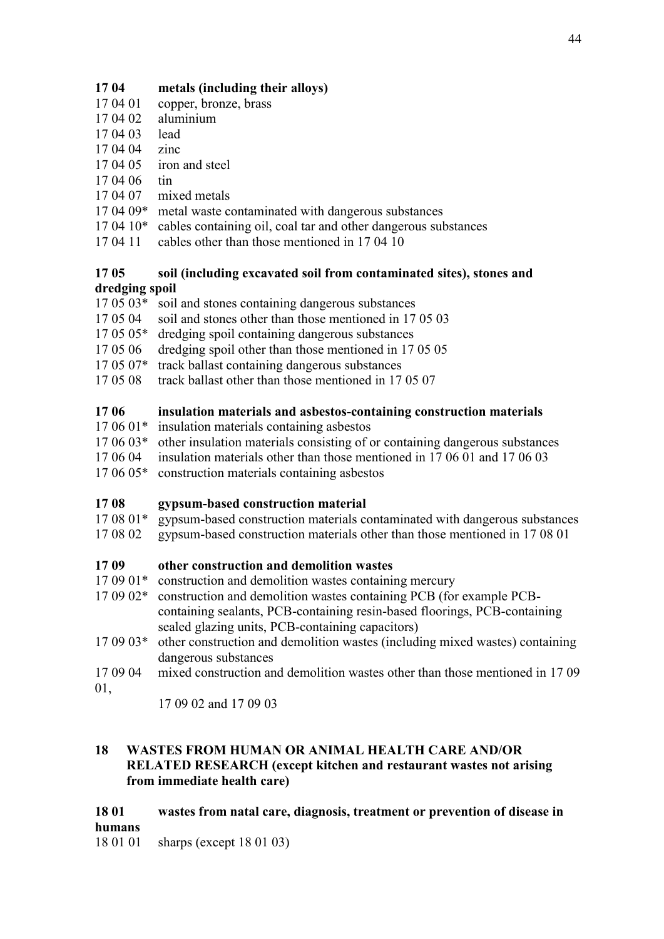## **17 04 metals (including their alloys)**

- 17 04 01 copper, bronze, brass
- 17 04 02 aluminium
- 17 04 03 lead
- 17 04 04 zinc
- 17 04 05 iron and steel
- 17 04 06 tin
- 17 04 07 mixed metals
- 17 04 09\* metal waste contaminated with dangerous substances
- 17 04 10\* cables containing oil, coal tar and other dangerous substances
- 17 04 11 cables other than those mentioned in 17 04 10

#### **17 05 soil (including excavated soil from contaminated sites), stones and dredging spoil**

- 17 05 03\* soil and stones containing dangerous substances
- 17 05 04 soil and stones other than those mentioned in 17 05 03
- 17 05 05\* dredging spoil containing dangerous substances
- 17 05 06 dredging spoil other than those mentioned in 17 05 05
- 17 05 07\* track ballast containing dangerous substances
- 17 05 08 track ballast other than those mentioned in 17 05 07

## **17 06 insulation materials and asbestos-containing construction materials**

- 17 06 01\* insulation materials containing asbestos
- 17 06 03\* other insulation materials consisting of or containing dangerous substances
- 17 06 04 insulation materials other than those mentioned in 17 06 01 and 17 06 03
- 17 06 05\* construction materials containing asbestos

## **17 08 gypsum-based construction material**

- 17 08 01\* gypsum-based construction materials contaminated with dangerous substances
- 17 08 02 gypsum-based construction materials other than those mentioned in 17 08 01

## **17 09 other construction and demolition wastes**

- 17 09 01<sup>\*</sup> construction and demolition wastes containing mercury
- 17 09 02\* construction and demolition wastes containing PCB (for example PCBcontaining sealants, PCB-containing resin-based floorings, PCB-containing sealed glazing units, PCB-containing capacitors)
- 17 09 03\* other construction and demolition wastes (including mixed wastes) containing dangerous substances
- 17 09 04 mixed construction and demolition wastes other than those mentioned in 17 09 01,
	- 17 09 02 and 17 09 03

## **18 WASTES FROM HUMAN OR ANIMAL HEALTH CARE AND/OR RELATED RESEARCH (except kitchen and restaurant wastes not arising from immediate health care)**

## **18 01 wastes from natal care, diagnosis, treatment or prevention of disease in humans**

18 01 01 sharps (except 18 01 03)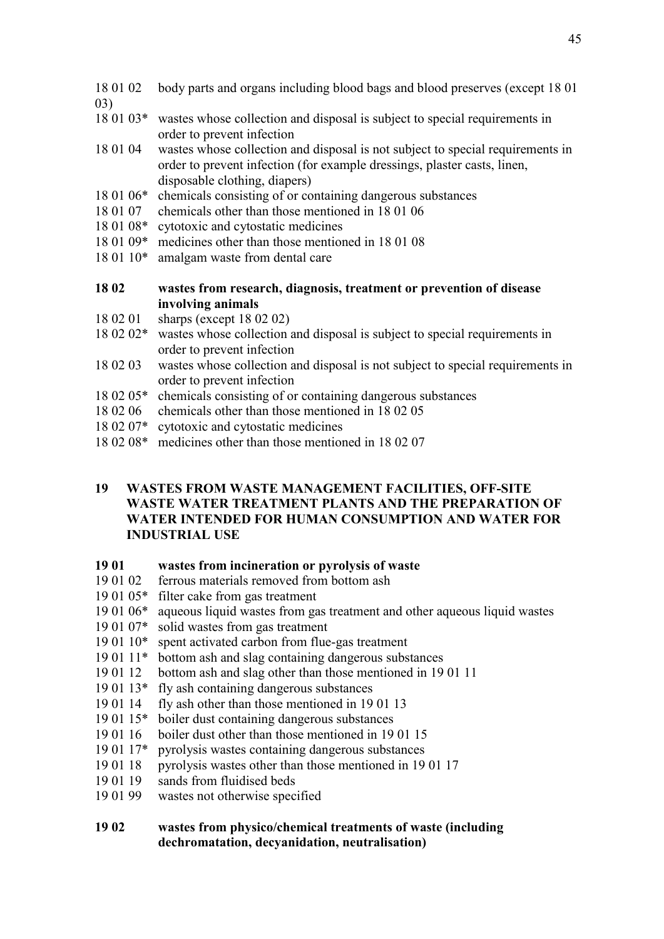- 18 01 02 body parts and organs including blood bags and blood preserves (except 18 01 03)
- 18 01 03\* wastes whose collection and disposal is subject to special requirements in order to prevent infection
- 18 01 04 wastes whose collection and disposal is not subject to special requirements in order to prevent infection (for example dressings, plaster casts, linen, disposable clothing, diapers)
- 18 01 06\* chemicals consisting of or containing dangerous substances
- 18 01 07 chemicals other than those mentioned in 18 01 06
- 18 01 08\* cytotoxic and cytostatic medicines
- 18 01 09\* medicines other than those mentioned in 18 01 08
- 18 01 10\* amalgam waste from dental care
- **18 02 wastes from research, diagnosis, treatment or prevention of disease involving animals**
- 18 02 01 sharps (except 18 02 02)
- 18 02 02\* wastes whose collection and disposal is subject to special requirements in order to prevent infection
- 18 02 03 wastes whose collection and disposal is not subject to special requirements in order to prevent infection
- 18 02 05\* chemicals consisting of or containing dangerous substances
- 18 02 06 chemicals other than those mentioned in 18 02 05
- 18 02 07\* cytotoxic and cytostatic medicines
- 18 02 08\* medicines other than those mentioned in 18 02 07

## **19 WASTES FROM WASTE MANAGEMENT FACILITIES, OFF-SITE WASTE WATER TREATMENT PLANTS AND THE PREPARATION OF WATER INTENDED FOR HUMAN CONSUMPTION AND WATER FOR INDUSTRIAL USE**

- **19 01 wastes from incineration or pyrolysis of waste**
- 19 01 02 ferrous materials removed from bottom ash
- 19 01 05\* filter cake from gas treatment
- 19 01 06\* aqueous liquid wastes from gas treatment and other aqueous liquid wastes
- 19 01 07\* solid wastes from gas treatment
- 19 01 10\* spent activated carbon from flue-gas treatment
- 19 01 11\* bottom ash and slag containing dangerous substances
- 19 01 12 bottom ash and slag other than those mentioned in 19 01 11
- 19 01 13\* fly ash containing dangerous substances
- 19 01 14 fly ash other than those mentioned in 19 01 13
- 19 01 15\* boiler dust containing dangerous substances
- 19 01 16 boiler dust other than those mentioned in 19 01 15
- 19 01 17\* pyrolysis wastes containing dangerous substances
- 19 01 18 pyrolysis wastes other than those mentioned in 19 01 17
- 19 01 19 sands from fluidised beds
- 19 01 99 wastes not otherwise specified

## **19 02 wastes from physico/chemical treatments of waste (including dechromatation, decyanidation, neutralisation)**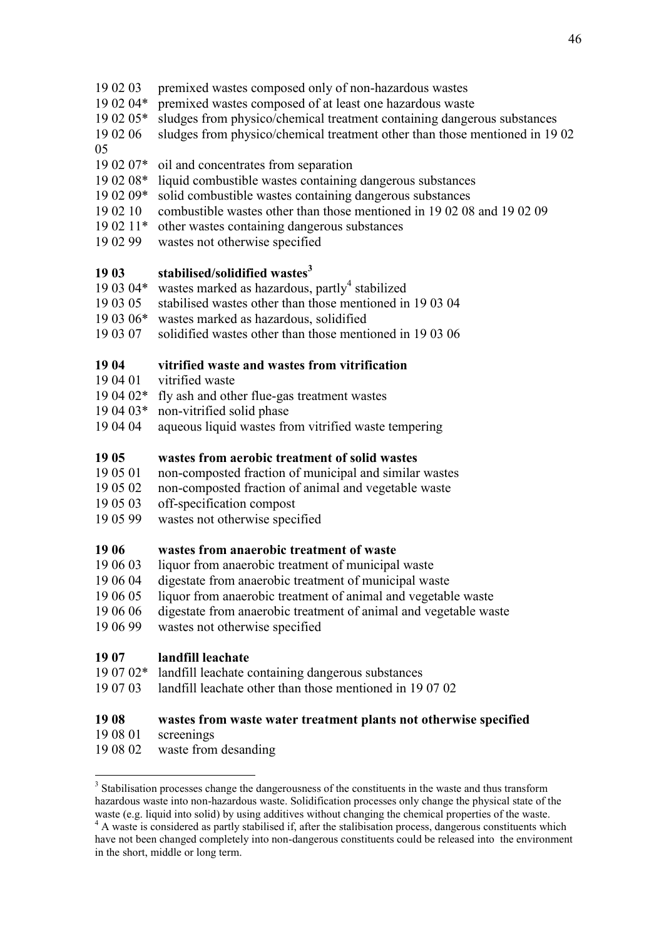- 19 02 03 premixed wastes composed only of non-hazardous wastes
- 19 02 04\* premixed wastes composed of at least one hazardous waste<br>19 02 05\* sludges from physico/chemical treatment containing danger
- sludges from physico/chemical treatment containing dangerous substances
- 19 02 06 sludges from physico/chemical treatment other than those mentioned in 19 02

05

- 19 02 07\* oil and concentrates from separation
- 19 02 08\* liquid combustible wastes containing dangerous substances
- 19 02 09\* solid combustible wastes containing dangerous substances
- 19 02 10 combustible wastes other than those mentioned in 19 02 08 and 19 02 09
- 19 02 11\* other wastes containing dangerous substances
- 19 02 99 wastes not otherwise specified

## **19 03 stabilised/solidified wastes<sup>3</sup>**

- 19 03 04 $*$  wastes marked as hazardous, partly<sup>4</sup> stabilized
- 19 03 05 stabilised wastes other than those mentioned in 19 03 04
- 19 03 06\* wastes marked as hazardous, solidified
- 19 03 07 solidified wastes other than those mentioned in 19 03 06

## **19 04 vitrified waste and wastes from vitrification**

- 19 04 01 vitrified waste
- 19 04 02\* fly ash and other flue-gas treatment wastes
- 19 04 03\* non-vitrified solid phase<br>19 04 04 aqueous liquid wastes from
- aqueous liquid wastes from vitrified waste tempering

## **19 05 wastes from aerobic treatment of solid wastes**

- 19 05 01 non-composted fraction of municipal and similar wastes
- 19 05 02 non-composted fraction of animal and vegetable waste
- 19 05 03 off-specification compost
- 19 05 99 wastes not otherwise specified

#### **19 06 wastes from anaerobic treatment of waste**

- 19 06 03 liquor from anaerobic treatment of municipal waste
- 19 06 04 digestate from anaerobic treatment of municipal waste
- 19 06 05 liquor from anaerobic treatment of animal and vegetable waste
- 19 06 06 digestate from anaerobic treatment of animal and vegetable waste
- 19 06 99 wastes not otherwise specified

## **19 07 landfill leachate**

- 19 07 02\* landfill leachate containing dangerous substances
- 19 07 03 landfill leachate other than those mentioned in 19 07 02

## **19 08 wastes from waste water treatment plants not otherwise specified**

19 08 01 screenings

1

19 08 02 waste from desanding

<sup>&</sup>lt;sup>3</sup> Stabilisation processes change the dangerousness of the constituents in the waste and thus transform hazardous waste into non-hazardous waste. Solidification processes only change the physical state of the waste (e.g. liquid into solid) by using additives without changing the chemical properties of the waste.

<sup>&</sup>lt;sup>4</sup> A waste is considered as partly stabilised if, after the stalibisation process, dangerous constituents which have not been changed completely into non-dangerous constituents could be released into the environment in the short, middle or long term.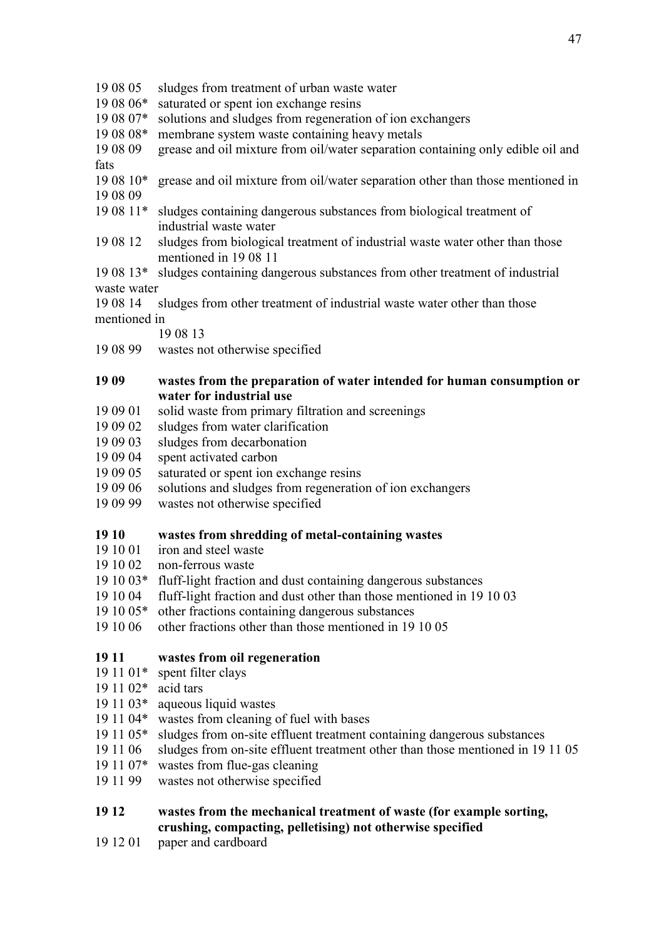- 19 08 05 sludges from treatment of urban waste water
- 19 08 06\* saturated or spent ion exchange resins
- 19 08 07\* solutions and sludges from regeneration of ion exchangers
- 19 08 08\* membrane system waste containing heavy metals
- 19 08 09 grease and oil mixture from oil/water separation containing only edible oil and fats
- 19 08 10\* grease and oil mixture from oil/water separation other than those mentioned in 19 08 09
- 19 08 11\* sludges containing dangerous substances from biological treatment of industrial waste water
- 19 08 12 sludges from biological treatment of industrial waste water other than those mentioned in 19 08 11
- 19 08 13\* sludges containing dangerous substances from other treatment of industrial waste water
- 19 08 14 sludges from other treatment of industrial waste water other than those mentioned in
	- 19 08 13
- 19 08 99 wastes not otherwise specified

## **19 09 wastes from the preparation of water intended for human consumption or water for industrial use**

- 19 09 01 solid waste from primary filtration and screenings
- 19 09 02 sludges from water clarification
- 19 09 03 sludges from decarbonation
- 19 09 04 spent activated carbon
- 19 09 05 saturated or spent ion exchange resins
- 19 09 06 solutions and sludges from regeneration of ion exchangers
- 19 09 99 wastes not otherwise specified

## **19 10 wastes from shredding of metal-containing wastes**

- 19 10 01 iron and steel waste
- 19 10 02 non-ferrous waste
- 19 10 03\* fluff-light fraction and dust containing dangerous substances
- 19 10 04 fluff-light fraction and dust other than those mentioned in 19 10 03
- 19 10 05\* other fractions containing dangerous substances
- 19 10 06 other fractions other than those mentioned in 19 10 05

## **19 11 wastes from oil regeneration**

- 19 11 01\* spent filter clays
- 19 11 02\* acid tars
- 19 11 03\* aqueous liquid wastes
- 19 11 04\* wastes from cleaning of fuel with bases
- 19 11 05\* sludges from on-site effluent treatment containing dangerous substances
- 19 11 06 sludges from on-site effluent treatment other than those mentioned in 19 11 05
- 19 11 07\* wastes from flue-gas cleaning
- 19 11 99 wastes not otherwise specified

## **19 12 wastes from the mechanical treatment of waste (for example sorting, crushing, compacting, pelletising) not otherwise specified**

19 12 01 paper and cardboard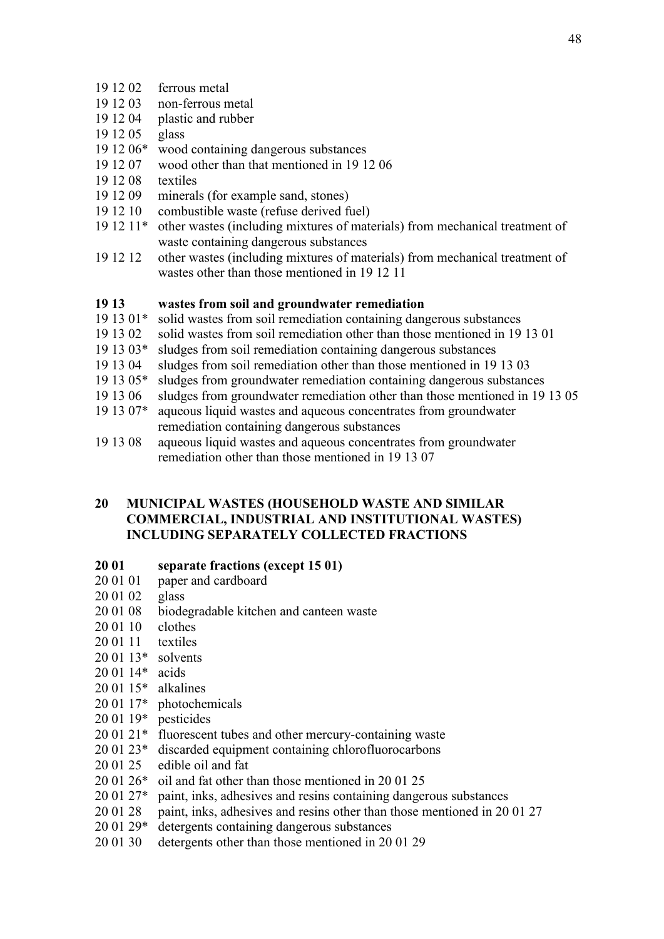- 19 12 02 ferrous metal
- 19 12 03 non-ferrous metal
- 19 12 04 plastic and rubber
- 19 12 05 glass
- 19 12 06\* wood containing dangerous substances
- 19 12 07 wood other than that mentioned in 19 12 06
- 19 12 08 textiles
- 19 12 09 minerals (for example sand, stones)
- 19 12 10 combustible waste (refuse derived fuel)
- 19 12 11\* other wastes (including mixtures of materials) from mechanical treatment of waste containing dangerous substances
- 19 12 12 other wastes (including mixtures of materials) from mechanical treatment of wastes other than those mentioned in 19 12 11

#### **19 13 wastes from soil and groundwater remediation**

- 19 13 01\* solid wastes from soil remediation containing dangerous substances
- 19 13 02 solid wastes from soil remediation other than those mentioned in 19 13 01
- 19 13 03\* sludges from soil remediation containing dangerous substances
- 19 13 04 sludges from soil remediation other than those mentioned in 19 13 03
- 19 13 05\* sludges from groundwater remediation containing dangerous substances
- 19 13 06 sludges from groundwater remediation other than those mentioned in 19 13 05
- 19 13 07\* aqueous liquid wastes and aqueous concentrates from groundwater remediation containing dangerous substances
- 19 13 08 aqueous liquid wastes and aqueous concentrates from groundwater remediation other than those mentioned in 19 13 07

### **20 MUNICIPAL WASTES (HOUSEHOLD WASTE AND SIMILAR COMMERCIAL, INDUSTRIAL AND INSTITUTIONAL WASTES) INCLUDING SEPARATELY COLLECTED FRACTIONS**

#### **20 01 separate fractions (except 15 01)**

- 20 01 01 paper and cardboard
- 20 01 02 glass
- 20 01 08 biodegradable kitchen and canteen waste
- 20 01 10 clothes
- 20 01 11 textiles
- 20 01 13\* solvents
- 20 01 14\* acids
- 20 01 15\* alkalines
- 20 01 17\* photochemicals
- 20 01 19\* pesticides
- 20 01 21\* fluorescent tubes and other mercury-containing waste
- 20 01 23\* discarded equipment containing chlorofluorocarbons
- 20 01 25 edible oil and fat
- 20 01 26\* oil and fat other than those mentioned in 20 01 25
- 20 01 27\* paint, inks, adhesives and resins containing dangerous substances
- 20 01 28 paint, inks, adhesives and resins other than those mentioned in 20 01 27
- 20 01 29\* detergents containing dangerous substances
- 20 01 30 detergents other than those mentioned in 20 01 29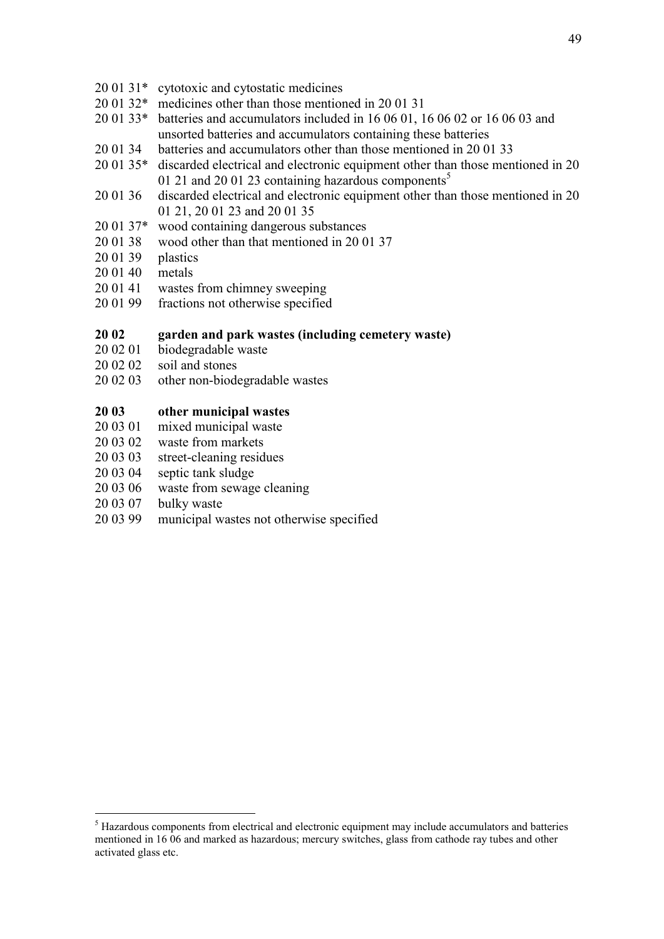- 20 01 31\* cytotoxic and cytostatic medicines
- 20 01 32\* medicines other than those mentioned in 20 01 31
- 20 01 33\* batteries and accumulators included in 16 06 01, 16 06 02 or 16 06 03 and unsorted batteries and accumulators containing these batteries
- 20 01 34 batteries and accumulators other than those mentioned in 20 01 33
- 20 01 35\* discarded electrical and electronic equipment other than those mentioned in 20 01 21 and 20 01 23 containing hazardous components<sup>5</sup>
- 20 01 36 discarded electrical and electronic equipment other than those mentioned in 20 01 21, 20 01 23 and 20 01 35
- 20 01 37\* wood containing dangerous substances
- 20 01 38 wood other than that mentioned in 20 01 37
- 20 01 39 plastics
- 20 01 40 metals
- 20 01 41 wastes from chimney sweeping
- 20 01 99 fractions not otherwise specified

#### **20 02 garden and park wastes (including cemetery waste)**

- 20 02 01 biodegradable waste
- 20 02 02 soil and stones
- 20 02 03 other non-biodegradable wastes

## **20 03 other municipal wastes**

- 20 03 01 mixed municipal waste
- 20 03 02 waste from markets
- 20 03 03 street-cleaning residues
- 20 03 04 septic tank sludge
- 20 03 06 waste from sewage cleaning
- 20 03 07 bulky waste

<u>.</u>

20 03 99 municipal wastes not otherwise specified

<sup>&</sup>lt;sup>5</sup> Hazardous components from electrical and electronic equipment may include accumulators and batteries mentioned in 16 06 and marked as hazardous; mercury switches, glass from cathode ray tubes and other activated glass etc.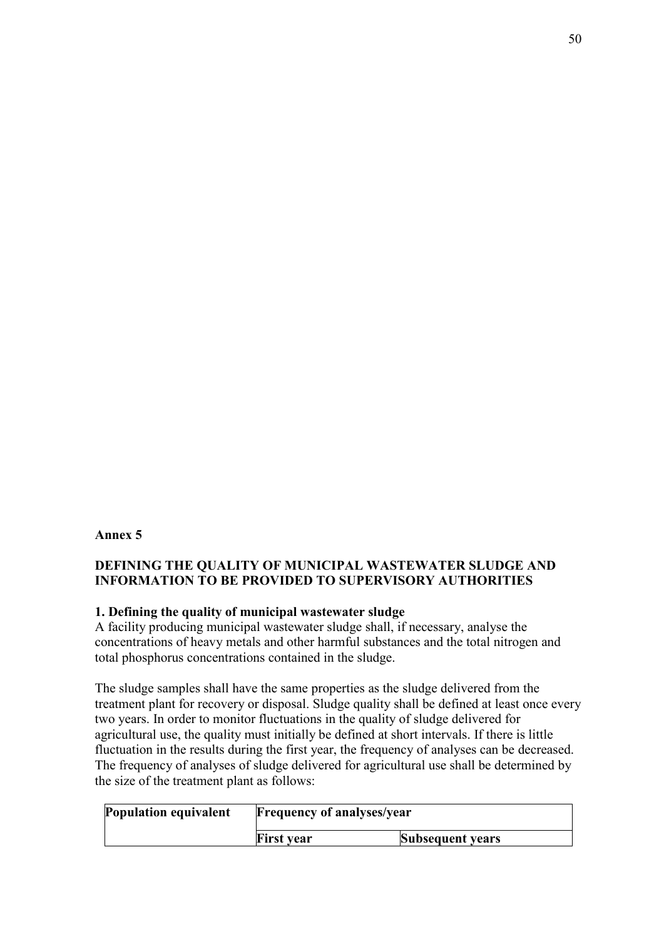### **Annex 5**

## **DEFINING THE QUALITY OF MUNICIPAL WASTEWATER SLUDGE AND INFORMATION TO BE PROVIDED TO SUPERVISORY AUTHORITIES**

#### **1. Defining the quality of municipal wastewater sludge**

A facility producing municipal wastewater sludge shall, if necessary, analyse the concentrations of heavy metals and other harmful substances and the total nitrogen and total phosphorus concentrations contained in the sludge.

The sludge samples shall have the same properties as the sludge delivered from the treatment plant for recovery or disposal. Sludge quality shall be defined at least once every two years. In order to monitor fluctuations in the quality of sludge delivered for agricultural use, the quality must initially be defined at short intervals. If there is little fluctuation in the results during the first year, the frequency of analyses can be decreased. The frequency of analyses of sludge delivered for agricultural use shall be determined by the size of the treatment plant as follows:

| <b>Population equivalent</b> | <b>Frequency of analyses/year</b> |                         |
|------------------------------|-----------------------------------|-------------------------|
|                              | <b>First year</b>                 | <b>Subsequent years</b> |